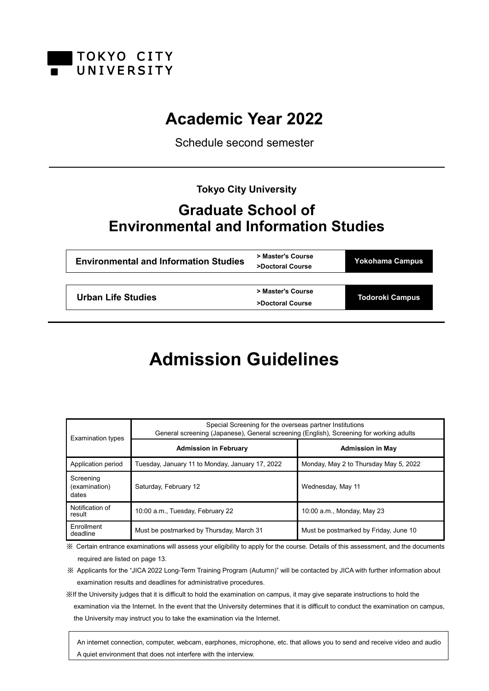

## **Academic Year 2022**

Schedule second semester

**Tokyo City University**

## **Graduate School of Environmental and Information Studies**

| <b>Environmental and Information Studies</b> | > Master's Course<br>>Doctoral Course | <b>Yokohama Campus</b> |
|----------------------------------------------|---------------------------------------|------------------------|
|                                              |                                       |                        |
|                                              | > Master's Course                     | <b>Todoroki Campus</b> |
| Urban Life Studies                           | >Doctoral Course                      |                        |
|                                              |                                       |                        |

# **Admission Guidelines**

| <b>Examination types</b>            | Special Screening for the overseas partner Institutions<br>General screening (Japanese), General screening (English), Screening for working adults |                                       |
|-------------------------------------|----------------------------------------------------------------------------------------------------------------------------------------------------|---------------------------------------|
|                                     | <b>Admission in February</b>                                                                                                                       | <b>Admission in May</b>               |
| Application period                  | Tuesday, January 11 to Monday, January 17, 2022                                                                                                    | Monday, May 2 to Thursday May 5, 2022 |
| Screening<br>(examination)<br>dates | Saturday, February 12                                                                                                                              | Wednesday, May 11                     |
| Notification of<br>result           | 10:00 a.m., Tuesday, February 22                                                                                                                   | 10:00 a.m., Monday, May 23            |
| Enrollment<br>deadline              | Must be postmarked by Thursday, March 31                                                                                                           | Must be postmarked by Friday, June 10 |

※ Certain entrance examinations will assess your eligibility to apply for the course. Details of this assessment, and the documents required are listed on page 13.

※ Applicants for the "JICA 2022 Long-Term Training Program (Autumn)" will be contacted by JICA with further information about examination results and deadlines for administrative procedures.

※If the University judges that it is difficult to hold the examination on campus, it may give separate instructions to hold the examination via the Internet. In the event that the University determines that it is difficult to conduct the examination on campus, the University may instruct you to take the examination via the Internet.

 An internet connection, computer, webcam, earphones, microphone, etc. that allows you to send and receive video and audio A quiet environment that does not interfere with the interview.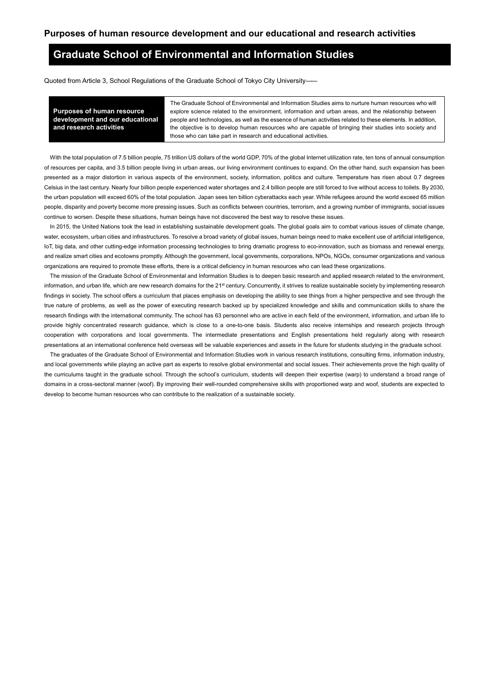### **Graduate School of Environmental and Information Studies**

Quoted from Article 3, School Regulations of the Graduate School of Tokyo City University――

**Purposes of human resource development and our educational and research activities**

The Graduate School of Environmental and Information Studies aims to nurture human resources who will explore science related to the environment, information and urban areas, and the relationship between people and technologies, as well as the essence of human activities related to these elements. In addition, the objective is to develop human resources who are capable of bringing their studies into society and those who can take part in research and educational activities.

With the total population of 7.5 billion people, 75 trillion US dollars of the world GDP, 70% of the global Internet utilization rate, ten tons of annual consumption of resources per capita, and 3.5 billion people living in urban areas, our living environment continues to expand. On the other hand, such expansion has been presented as a major distortion in various aspects of the environment, society, information, politics and culture. Temperature has risen about 0.7 degrees Celsius in the last century. Nearly four billion people experienced water shortages and 2.4 billion people are still forced to live without access to toilets. By 2030, the urban population will exceed 60% of the total population. Japan sees ten billion cyberattacks each year. While refugees around the world exceed 65 million people, disparity and poverty become more pressing issues. Such as conflicts between countries, terrorism, and a growing number of immigrants, social issues continue to worsen. Despite these situations, human beings have not discovered the best way to resolve these issues.

In 2015, the United Nations took the lead in establishing sustainable development goals. The global goals aim to combat various issues of climate change, water, ecosystem, urban cities and infrastructures. To resolve a broad variety of global issues, human beings need to make excellent use of artificial intelligence, IoT, big data, and other cutting-edge information processing technologies to bring dramatic progress to eco-innovation, such as biomass and renewal energy, and realize smart cities and ecotowns promptly. Although the government, local governments, corporations, NPOs, NGOs, consumer organizations and various organizations are required to promote these efforts, there is a critical deficiency in human resources who can lead these organizations.

The mission of the Graduate School of Environmental and Information Studies is to deepen basic research and applied research related to the environment, information, and urban life, which are new research domains for the 21<sup>st</sup> century. Concurrently, it strives to realize sustainable society by implementing research findings in society. The school offers a curriculum that places emphasis on developing the ability to see things from a higher perspective and see through the true nature of problems, as well as the power of executing research backed up by specialized knowledge and skills and communication skills to share the research findings with the international community. The school has 63 personnel who are active in each field of the environment, information, and urban life to provide highly concentrated research guidance, which is close to a one-to-one basis. Students also receive internships and research projects through cooperation with corporations and local governments. The intermediate presentations and English presentations held regularly along with research presentations at an international conference held overseas will be valuable experiences and assets in the future for students studying in the graduate school.

The graduates of the Graduate School of Environmental and Information Studies work in various research institutions, consulting firms, information industry, and local governments while playing an active part as experts to resolve global environmental and social issues. Their achievements prove the high quality of the curriculums taught in the graduate school. Through the school's curriculum, students will deepen their expertise (warp) to understand a broad range of domains in a cross-sectoral manner (woof). By improving their well-rounded comprehensive skills with proportioned warp and woof, students are expected to develop to become human resources who can contribute to the realization of a sustainable society.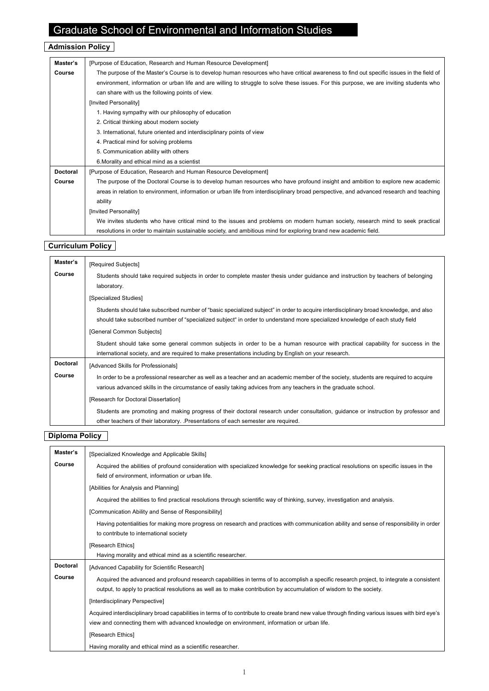## Graduate School of Environmental and Information Studies

## **Admission Policy**

| Master's        | [Purpose of Education, Research and Human Resource Development]                                                                          |  |
|-----------------|------------------------------------------------------------------------------------------------------------------------------------------|--|
| Course          | The purpose of the Master's Course is to develop human resources who have critical awareness to find out specific issues in the field of |  |
|                 | environment, information or urban life and are willing to struggle to solve these issues. For this purpose, we are inviting students who |  |
|                 | can share with us the following points of view.                                                                                          |  |
|                 | [Invited Personality]                                                                                                                    |  |
|                 | 1. Having sympathy with our philosophy of education                                                                                      |  |
|                 | 2. Critical thinking about modern society                                                                                                |  |
|                 | 3. International, future oriented and interdisciplinary points of view                                                                   |  |
|                 | 4. Practical mind for solving problems                                                                                                   |  |
|                 | 5. Communication ability with others                                                                                                     |  |
|                 | 6. Morality and ethical mind as a scientist                                                                                              |  |
| <b>Doctoral</b> | [Purpose of Education, Research and Human Resource Development]                                                                          |  |
| Course          | The purpose of the Doctoral Course is to develop human resources who have profound insight and ambition to explore new academic          |  |
|                 | areas in relation to environment, information or urban life from interdisciplinary broad perspective, and advanced research and teaching |  |
|                 | ability                                                                                                                                  |  |
|                 | [Invited Personality]                                                                                                                    |  |
|                 | We invites students who have critical mind to the issues and problems on modern human society, research mind to seek practical           |  |
|                 | resolutions in order to maintain sustainable society, and ambitious mind for exploring brand new academic field.                         |  |

### **Curriculum Policy**

| Master's        | [Required Subjects]                                                                                                                   |
|-----------------|---------------------------------------------------------------------------------------------------------------------------------------|
| Course          | Students should take required subjects in order to complete master thesis under guidance and instruction by teachers of belonging     |
|                 | laboratory.                                                                                                                           |
|                 | [Specialized Studies]                                                                                                                 |
|                 | Students should take subscribed number of "basic specialized subject" in order to acquire interdisciplinary broad knowledge, and also |
|                 | should take subscribed number of "specialized subject" in order to understand more specialized knowledge of each study field          |
|                 | [General Common Subjects]                                                                                                             |
|                 | Student should take some general common subjects in order to be a human resource with practical capability for success in the         |
|                 | international society, and are required to make presentations including by English on your research.                                  |
| <b>Doctoral</b> | [Advanced Skills for Professionals]                                                                                                   |
| Course          | In order to be a professional researcher as well as a teacher and an academic member of the society, students are required to acquire |
|                 | various advanced skills in the circumstance of easily taking advices from any teachers in the graduate school.                        |
|                 | [Research for Doctoral Dissertation]                                                                                                  |
|                 | Students are promoting and making progress of their doctoral research under consultation, guidance or instruction by professor and    |
|                 | other teachers of their laboratory. Presentations of each semester are required.                                                      |

### **Diploma Policy**

| Master's        | [Specialized Knowledge and Applicable Skills]                                                                                                    |  |
|-----------------|--------------------------------------------------------------------------------------------------------------------------------------------------|--|
| Course          | Acquired the abilities of profound consideration with specialized knowledge for seeking practical resolutions on specific issues in the          |  |
|                 | field of environment, information or urban life.                                                                                                 |  |
|                 | [Abilities for Analysis and Planning]                                                                                                            |  |
|                 | Acquired the abilities to find practical resolutions through scientific way of thinking, survey, investigation and analysis.                     |  |
|                 | [Communication Ability and Sense of Responsibility]                                                                                              |  |
|                 | Having potentialities for making more progress on research and practices with communication ability and sense of responsibility in order         |  |
|                 | to contribute to international society                                                                                                           |  |
|                 | [Research Ethics]                                                                                                                                |  |
|                 | Having morality and ethical mind as a scientific researcher.                                                                                     |  |
| <b>Doctoral</b> | [Advanced Capability for Scientific Research]                                                                                                    |  |
| Course          | Acquired the advanced and profound research capabilities in terms of to accomplish a specific research project, to integrate a consistent        |  |
|                 | output, to apply to practical resolutions as well as to make contribution by accumulation of wisdom to the society.                              |  |
|                 | [Interdisciplinary Perspective]                                                                                                                  |  |
|                 | Acquired interdisciplinary broad capabilities in terms of to contribute to create brand new value through finding various issues with bird eye's |  |
|                 | view and connecting them with advanced knowledge on environment, information or urban life.                                                      |  |
|                 | [Research Ethics]                                                                                                                                |  |
|                 | Having morality and ethical mind as a scientific researcher.                                                                                     |  |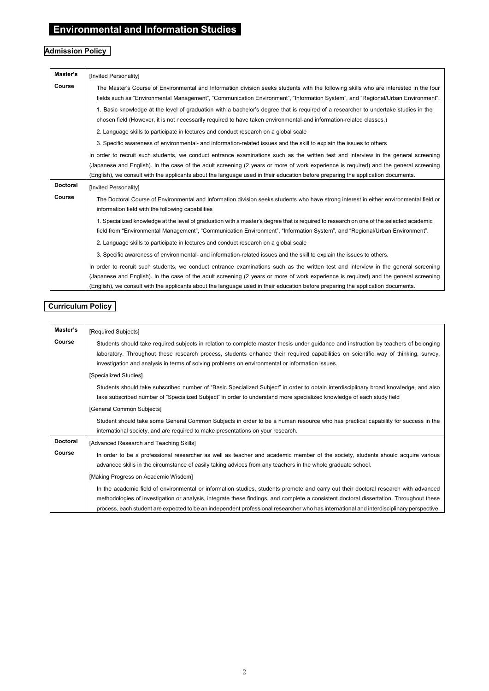## **Environmental and Information Studies**

## **Admission Policy**

| Master's        | [Invited Personality]                                                                                                                                                                                                                                                    |
|-----------------|--------------------------------------------------------------------------------------------------------------------------------------------------------------------------------------------------------------------------------------------------------------------------|
| Course          | The Master's Course of Environmental and Information division seeks students with the following skills who are interested in the four<br>fields such as "Environmental Management", "Communication Environment", "Information System", and "Regional/Urban Environment". |
|                 | 1. Basic knowledge at the level of graduation with a bachelor's degree that is required of a researcher to undertake studies in the<br>chosen field (However, it is not necessarily required to have taken environmental-and information-related classes.)               |
|                 | 2. Language skills to participate in lectures and conduct research on a global scale                                                                                                                                                                                     |
|                 | 3. Specific awareness of environmental- and information-related issues and the skill to explain the issues to others                                                                                                                                                     |
|                 | In order to recruit such students, we conduct entrance examinations such as the written test and interview in the general screening                                                                                                                                      |
|                 | (Japanese and English). In the case of the adult screening (2 years or more of work experience is required) and the general screening                                                                                                                                    |
|                 | (English), we consult with the applicants about the language used in their education before preparing the application documents.                                                                                                                                         |
| <b>Doctoral</b> | [Invited Personality]                                                                                                                                                                                                                                                    |
| Course          | The Doctoral Course of Environmental and Information division seeks students who have strong interest in either environmental field or<br>information field with the following capabilities                                                                              |
|                 | 1. Specialized knowledge at the level of graduation with a master's degree that is reguired to research on one of the selected academic                                                                                                                                  |
|                 | field from "Environmental Management", "Communication Environment", "Information System", and "Regional/Urban Environment".                                                                                                                                              |
|                 | 2. Language skills to participate in lectures and conduct research on a global scale                                                                                                                                                                                     |
|                 | 3. Specific awareness of environmental- and information-related issues and the skill to explain the issues to others.                                                                                                                                                    |
|                 | In order to recruit such students, we conduct entrance examinations such as the written test and interview in the general screening                                                                                                                                      |
|                 | (Japanese and English). In the case of the adult screening (2 years or more of work experience is required) and the general screening                                                                                                                                    |
|                 | (English), we consult with the applicants about the language used in their education before preparing the application documents.                                                                                                                                         |

### **Curriculum Policy**

| Master's                  | [Required Subjects]                                                                                                                                                                                                                                                                                                                                                                                                        |
|---------------------------|----------------------------------------------------------------------------------------------------------------------------------------------------------------------------------------------------------------------------------------------------------------------------------------------------------------------------------------------------------------------------------------------------------------------------|
| Course                    | Students should take required subjects in relation to complete master thesis under guidance and instruction by teachers of belonging<br>laboratory. Throughout these research process, students enhance their required capabilities on scientific way of thinking, survey,<br>investigation and analysis in terms of solving problems on environmental or information issues.                                              |
|                           | [Specialized Studies]<br>Students should take subscribed number of "Basic Specialized Subject" in order to obtain interdisciplinary broad knowledge, and also<br>take subscribed number of "Specialized Subject" in order to understand more specialized knowledge of each study field<br>[General Common Subjects]                                                                                                        |
|                           | Student should take some General Common Subjects in order to be a human resource who has practical capability for success in the<br>international society, and are required to make presentations on your research.                                                                                                                                                                                                        |
| <b>Doctoral</b><br>Course | [Advanced Research and Teaching Skills]<br>In order to be a professional researcher as well as teacher and academic member of the society, students should acquire various<br>advanced skills in the circumstance of easily taking advices from any teachers in the whole graduate school.                                                                                                                                 |
|                           | [Making Progress on Academic Wisdom]                                                                                                                                                                                                                                                                                                                                                                                       |
|                           | In the academic field of environmental or information studies, students promote and carry out their doctoral research with advanced<br>methodologies of investigation or analysis, integrate these findings, and complete a consistent doctoral dissertation. Throughout these<br>process, each student are expected to be an independent professional researcher who has international and interdisciplinary perspective. |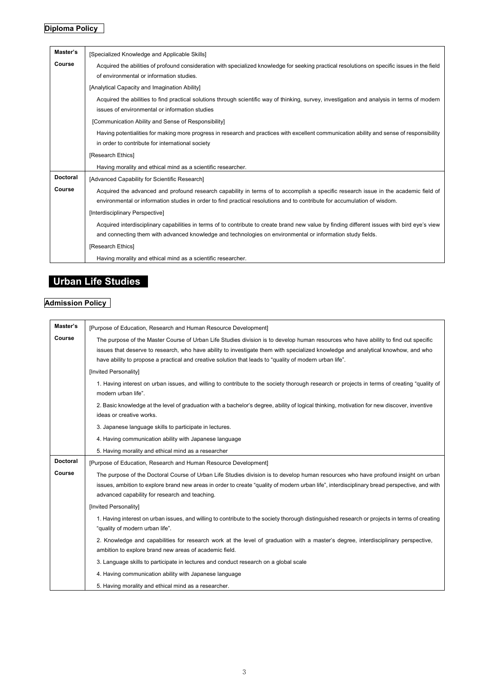## **Diploma Policy**

| Master's        | [Specialized Knowledge and Applicable Skills]                                                                                                                                                                                                                    |
|-----------------|------------------------------------------------------------------------------------------------------------------------------------------------------------------------------------------------------------------------------------------------------------------|
| Course          | Acquired the abilities of profound consideration with specialized knowledge for seeking practical resolutions on specific issues in the field<br>of environmental or information studies.                                                                        |
|                 | [Analytical Capacity and Imagination Ability]                                                                                                                                                                                                                    |
|                 | Acquired the abilities to find practical solutions through scientific way of thinking, survey, investigation and analysis in terms of modern<br>issues of environmental or information studies                                                                   |
|                 | [Communication Ability and Sense of Responsibility]                                                                                                                                                                                                              |
|                 | Having potentialities for making more progress in research and practices with excellent communication ability and sense of responsibility<br>in order to contribute for international society                                                                    |
|                 | [Research Ethics]                                                                                                                                                                                                                                                |
|                 | Having morality and ethical mind as a scientific researcher.                                                                                                                                                                                                     |
| <b>Doctoral</b> | [Advanced Capability for Scientific Research]                                                                                                                                                                                                                    |
| Course          | Acquired the advanced and profound research capability in terms of to accomplish a specific research issue in the academic field of<br>environmental or information studies in order to find practical resolutions and to contribute for accumulation of wisdom. |
|                 | [Interdisciplinary Perspective]                                                                                                                                                                                                                                  |
|                 | Acquired interdisciplinary capabilities in terms of to contribute to create brand new value by finding different issues with bird eye's view<br>and connecting them with advanced knowledge and technologies on environmental or information study fields.       |
|                 | [Research Ethics]                                                                                                                                                                                                                                                |
|                 | Having morality and ethical mind as a scientific researcher.                                                                                                                                                                                                     |

## **Urban Life Studies**

## **Admission Policy**

| Master's        | [Purpose of Education, Research and Human Resource Development]                                                                                                                                                                                                                                                                                                                    |
|-----------------|------------------------------------------------------------------------------------------------------------------------------------------------------------------------------------------------------------------------------------------------------------------------------------------------------------------------------------------------------------------------------------|
| Course          | The purpose of the Master Course of Urban Life Studies division is to develop human resources who have ability to find out specific<br>issues that deserve to research, who have ability to investigate them with specialized knowledge and analytical knowhow, and who<br>have ability to propose a practical and creative solution that leads to "quality of modern urban life". |
|                 | [Invited Personality]                                                                                                                                                                                                                                                                                                                                                              |
|                 | 1. Having interest on urban issues, and willing to contribute to the society thorough research or projects in terms of creating "quality of<br>modern urban life".                                                                                                                                                                                                                 |
|                 | 2. Basic knowledge at the level of graduation with a bachelor's degree, ability of logical thinking, motivation for new discover, inventive<br>ideas or creative works.                                                                                                                                                                                                            |
|                 | 3. Japanese language skills to participate in lectures.                                                                                                                                                                                                                                                                                                                            |
|                 | 4. Having communication ability with Japanese language                                                                                                                                                                                                                                                                                                                             |
|                 | 5. Having morality and ethical mind as a researcher                                                                                                                                                                                                                                                                                                                                |
| <b>Doctoral</b> | [Purpose of Education, Research and Human Resource Development]                                                                                                                                                                                                                                                                                                                    |
| Course          | The purpose of the Doctoral Course of Urban Life Studies division is to develop human resources who have profound insight on urban<br>issues, ambition to explore brand new areas in order to create "quality of modern urban life", interdisciplinary bread perspective, and with<br>advanced capability for research and teaching.                                               |
|                 | [Invited Personality]                                                                                                                                                                                                                                                                                                                                                              |
|                 | 1. Having interest on urban issues, and willing to contribute to the society thorough distinguished research or projects in terms of creating<br>"quality of modern urban life".                                                                                                                                                                                                   |
|                 | 2. Knowledge and capabilities for research work at the level of graduation with a master's degree, interdisciplinary perspective,<br>ambition to explore brand new areas of academic field.                                                                                                                                                                                        |
|                 | 3. Language skills to participate in lectures and conduct research on a global scale                                                                                                                                                                                                                                                                                               |
|                 | 4. Having communication ability with Japanese language                                                                                                                                                                                                                                                                                                                             |
|                 | 5. Having morality and ethical mind as a researcher.                                                                                                                                                                                                                                                                                                                               |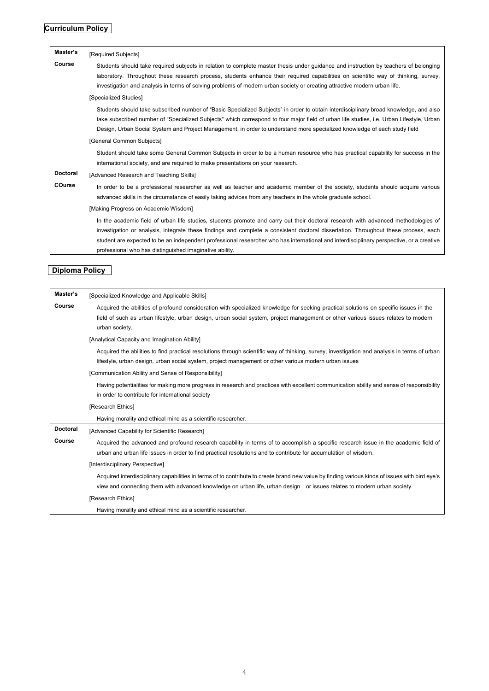## **Curriculum Policy**

| Master's        | [Required Subjects]                                                                                                                                                                                                                                                                                                                                                                                            |
|-----------------|----------------------------------------------------------------------------------------------------------------------------------------------------------------------------------------------------------------------------------------------------------------------------------------------------------------------------------------------------------------------------------------------------------------|
| Course          | Students should take required subjects in relation to complete master thesis under quidance and instruction by teachers of belonging<br>laboratory. Throughout these research process, students enhance their required capabilities on scientific way of thinking, survey,<br>investigation and analysis in terms of solving problems of modern urban society or creating attractive modern urban life.        |
|                 | [Specialized Studies]                                                                                                                                                                                                                                                                                                                                                                                          |
|                 | Students should take subscribed number of "Basic Specialized Subjects" in order to obtain interdisciplinary broad knowledge, and also<br>take subscribed number of "Specialized Subjects" which correspond to four major field of urban life studies, i.e. Urban Lifestyle, Urban<br>Design, Urban Social System and Project Management, in order to understand more specialized knowledge of each study field |
|                 | [General Common Subjects]                                                                                                                                                                                                                                                                                                                                                                                      |
|                 | Student should take some General Common Subjects in order to be a human resource who has practical capability for success in the<br>international society, and are required to make presentations on your research.                                                                                                                                                                                            |
| <b>Doctoral</b> | [Advanced Research and Teaching Skills]                                                                                                                                                                                                                                                                                                                                                                        |
| <b>COurse</b>   | In order to be a professional researcher as well as teacher and academic member of the society, students should acquire various<br>advanced skills in the circumstance of easily taking advices from any teachers in the whole graduate school.                                                                                                                                                                |
|                 | [Making Progress on Academic Wisdom]                                                                                                                                                                                                                                                                                                                                                                           |
|                 | In the academic field of urban life studies, students promote and carry out their doctoral research with advanced methodologies of                                                                                                                                                                                                                                                                             |
|                 | investigation or analysis, integrate these findings and complete a consistent doctoral dissertation. Throughout these process, each                                                                                                                                                                                                                                                                            |
|                 | student are expected to be an independent professional researcher who has international and interdisciplinary perspective, or a creative                                                                                                                                                                                                                                                                       |
|                 | professional who has distinguished imaginative ability.                                                                                                                                                                                                                                                                                                                                                        |

### **Diploma Policy**

| Master's        | [Specialized Knowledge and Applicable Skills]                                                                                                                                                                                                                                                |
|-----------------|----------------------------------------------------------------------------------------------------------------------------------------------------------------------------------------------------------------------------------------------------------------------------------------------|
| Course          | Acquired the abilities of profound consideration with specialized knowledge for seeking practical solutions on specific issues in the<br>field of such as urban lifestyle, urban design, urban social system, project management or other various issues relates to modern<br>urban society. |
|                 | [Analytical Capacity and Imagination Ability]                                                                                                                                                                                                                                                |
|                 | Acquired the abilities to find practical resolutions through scientific way of thinking, survey, investigation and analysis in terms of urban<br>lifestyle, urban design, urban social system, project management or other various modern urban issues                                       |
|                 | [Communication Ability and Sense of Responsibility]                                                                                                                                                                                                                                          |
|                 | Having potentialities for making more progress in research and practices with excellent communication ability and sense of responsibility<br>in order to contribute for international society                                                                                                |
|                 | [Research Ethics]                                                                                                                                                                                                                                                                            |
|                 | Having morality and ethical mind as a scientific researcher.                                                                                                                                                                                                                                 |
| <b>Doctoral</b> | [Advanced Capability for Scientific Research]                                                                                                                                                                                                                                                |
| Course          | Acquired the advanced and profound research capability in terms of to accomplish a specific research issue in the academic field of<br>urban and urban life issues in order to find practical resolutions and to contribute for accumulation of wisdom.                                      |
|                 | [Interdisciplinary Perspective]                                                                                                                                                                                                                                                              |
|                 | Acquired interdisciplinary capabilities in terms of to contribute to create brand new value by finding various kinds of issues with bird eye's<br>view and connecting them with advanced knowledge on urban life, urban design or issues relates to modern urban society.                    |
|                 | [Research Ethics]                                                                                                                                                                                                                                                                            |
|                 | Having morality and ethical mind as a scientific researcher.                                                                                                                                                                                                                                 |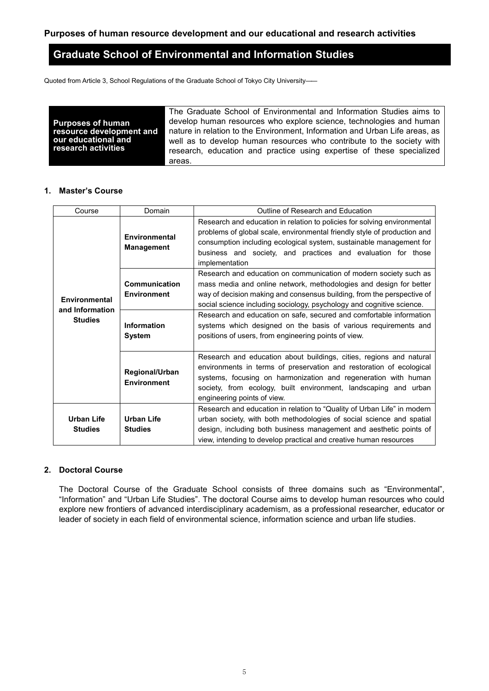## **Graduate School of Environmental and Information Studies**

Quoted from Article 3, School Regulations of the Graduate School of Tokyo City University――

|                          | The Graduate School of Environmental and Information Studies aims to        |
|--------------------------|-----------------------------------------------------------------------------|
| <b>Purposes of human</b> | develop human resources who explore science, technologies and human         |
| resource development and | nature in relation to the Environment, Information and Urban Life areas, as |
| our educational and      | well as to develop human resources who contribute to the society with       |
| research activities      | research, education and practice using expertise of these specialized       |
|                          | areas.                                                                      |

#### **1. Master's Course**

| Course                              | Domain                               | Outline of Research and Education                                                                                                                                                                                                                                                                              |  |  |  |  |  |
|-------------------------------------|--------------------------------------|----------------------------------------------------------------------------------------------------------------------------------------------------------------------------------------------------------------------------------------------------------------------------------------------------------------|--|--|--|--|--|
|                                     | Environmental<br><b>Management</b>   | Research and education in relation to policies for solving environmental<br>problems of global scale, environmental friendly style of production and<br>consumption including ecological system, sustainable management for<br>business and society, and practices and evaluation for those<br>implementation  |  |  |  |  |  |
| Environmental                       | Communication<br><b>Environment</b>  | Research and education on communication of modern society such as<br>mass media and online network, methodologies and design for better<br>way of decision making and consensus building, from the perspective of<br>social science including sociology, psychology and cognitive science.                     |  |  |  |  |  |
| and Information<br><b>Studies</b>   | <b>Information</b><br><b>System</b>  | Research and education on safe, secured and comfortable information<br>systems which designed on the basis of various requirements and<br>positions of users, from engineering points of view.                                                                                                                 |  |  |  |  |  |
|                                     | Regional/Urban<br><b>Environment</b> | Research and education about buildings, cities, regions and natural<br>environments in terms of preservation and restoration of ecological<br>systems, focusing on harmonization and regeneration with human<br>society, from ecology, built environment, landscaping and urban<br>engineering points of view. |  |  |  |  |  |
| <b>Urban Life</b><br><b>Studies</b> | <b>Urban Life</b><br><b>Studies</b>  | Research and education in relation to "Quality of Urban Life" in modern<br>urban society, with both methodologies of social science and spatial<br>design, including both business management and aesthetic points of<br>view, intending to develop practical and creative human resources                     |  |  |  |  |  |

### **2. Doctoral Course**

The Doctoral Course of the Graduate School consists of three domains such as "Environmental", "Information" and "Urban Life Studies". The doctoral Course aims to develop human resources who could explore new frontiers of advanced interdisciplinary academism, as a professional researcher, educator or leader of society in each field of environmental science, information science and urban life studies.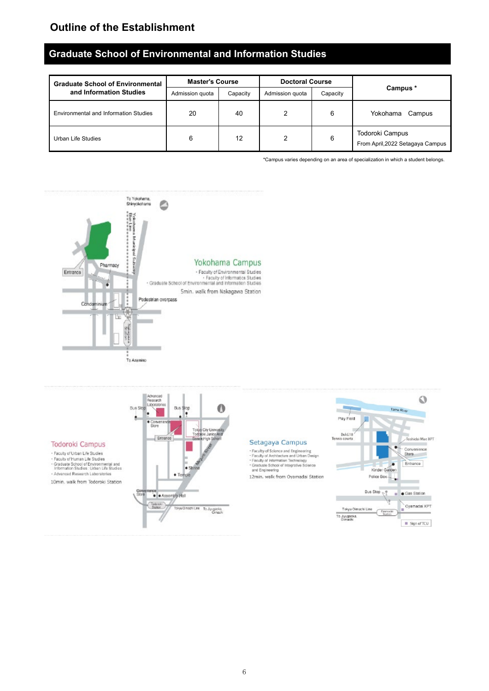## **Outline of the Establishment**

## **Graduate School of Environmental and Information Studies**

| <b>Graduate School of Environmental</b>      | <b>Master's Course</b> |          | <b>Doctoral Course</b> |          |                                                     |  |
|----------------------------------------------|------------------------|----------|------------------------|----------|-----------------------------------------------------|--|
| and Information Studies                      | Admission quota        | Capacity | Admission guota        | Capacity | Campus *                                            |  |
| <b>Environmental and Information Studies</b> | 20                     | 40       | 2                      | 6        | Yokohama<br>Campus                                  |  |
| Urban Life Studies                           | 6                      | 12       | 2                      | 6        | Todoroki Campus<br>From April, 2022 Setagaya Campus |  |

\*Campus varies depending on an area of specialization in which a student belongs.

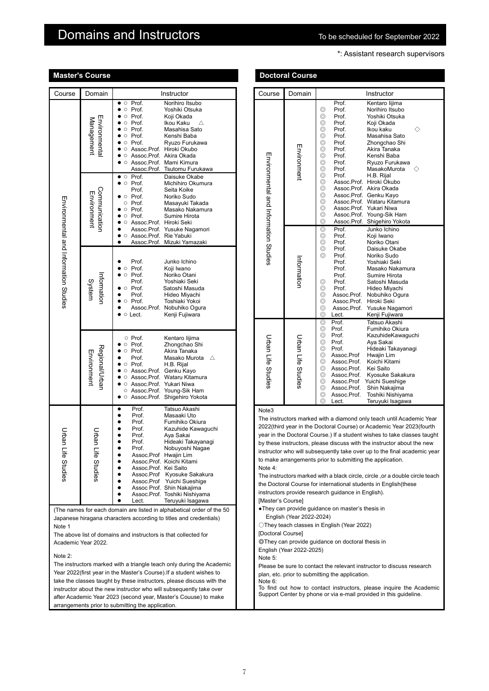## Domains and Instructors **The Structom Community Community** To be scheduled for September 2022

\*: Assistant research supervisors

|                                       | <b>Master S</b> Course        |                                                                                                                                                                                                                                                                                                                                                                                                                                                   |                                       | Doctoral Course                                      |                                                                                                                                                                                                                                                                                                                                                                                                                                                                                                                                 |
|---------------------------------------|-------------------------------|---------------------------------------------------------------------------------------------------------------------------------------------------------------------------------------------------------------------------------------------------------------------------------------------------------------------------------------------------------------------------------------------------------------------------------------------------|---------------------------------------|------------------------------------------------------|---------------------------------------------------------------------------------------------------------------------------------------------------------------------------------------------------------------------------------------------------------------------------------------------------------------------------------------------------------------------------------------------------------------------------------------------------------------------------------------------------------------------------------|
| Course                                | Domain                        | Instructor                                                                                                                                                                                                                                                                                                                                                                                                                                        | Course                                | Domain                                               | Instructor                                                                                                                                                                                                                                                                                                                                                                                                                                                                                                                      |
| Management                            | Environmenta                  | Prof.<br>Norihiro Itsubo<br>$\circ$<br>$\bullet$<br>Prof.<br>$\circ$<br>Yoshiki Otsuka<br>Prof.<br>Koji Okada<br>$\circ$<br>Prof.<br>Ikou Kaku<br>Δ<br>Prof.<br>Masahisa Sato<br>$\circ$<br>Prof.<br>Kenshi Baba<br>$\bullet$<br>$\circ$<br>Prof.<br>Ryuzo Furukawa<br>$\circ$<br>Assoc.Prof. Hiroki Okubo<br>$\circ$<br>Assoc.Prof. Akira Okada<br>$\bullet$<br>$\circ$<br>Assoc.Prof. Mami Kimura<br>$\circ$<br>Assoc.Prof.<br>Tsutomu Furukawa |                                       | Environment                                          | Kentaro lij<br>Prof.<br>⊚<br>Prof.<br>Norihiro Its<br>⊚<br>Prof.<br>Yoshiki Ot<br>⊚<br>Prof.<br>Koji Okada<br>⊚<br>Prof.<br>Ikou kaku<br>⊚<br>Prof.<br>Masahisa<br>⊚<br>Prof.<br>Zhongcha<br>⊚<br>Prof.<br>Akira Tana<br>⊚<br>Prof.<br>Kenshi Ba<br>⊚<br>Prof.<br>Ryuzo Fur<br>⊚<br>Prof.<br>MasakoM                                                                                                                                                                                                                            |
|                                       | Communicatior<br>Environment  | $\bullet$ $\circ$ Prof.<br>Daisuke Okabe<br>$\bullet$ $\circ$ Prof.<br>Michihiro Okumura<br>Prof.<br>Seita Koike<br>$\bullet$ $\circ$ Prof.<br>Noriko Sudo<br>Prof.<br>Masayuki Takada<br>$\circ$<br>$\bullet$ $\circ$ Prof.<br>Masako Nakamura<br>$\circ$ Prof.<br>Sumire Hirota<br>$\bullet$<br>Assoc.Prof. Hiroki Seki<br>$\circ$<br>Assoc.Prof. Yusuke Nagamori                                                                               | Environmental and Information Studies |                                                      | ⊚<br>Prof.<br>H.B. Rijal<br>⊚<br>Assoc.Prof. Hiroki Oku<br>⊚<br>Assoc.Prof. Akira Oka<br>⊚<br>Assoc.Prof. Genku Ka<br>⊚<br>Assoc.Prof. Wataru Kit<br>⊚<br>Assoc.Prof. Yukari Niw<br>⊚<br>Assoc.Prof. Young-Sik<br>⊚<br>Assoc.Prof. Shigehiro<br>Prof.<br>Junko Ichi<br>⊚                                                                                                                                                                                                                                                        |
| Environmental and Information Studies | nformatior<br>System          | ● ○ Assoc.Prof. Rie Yabuki<br>Assoc.Prof. Mizuki Yamazaki<br>$\bullet$<br>Prof.<br>Junko Ichino<br>Prof.<br>Koji Iwano<br>$\circ$<br>Prof.<br>Noriko Otani<br>$\circ$<br>$\bullet$<br>Prof.<br>Yoshiaki Seki<br>$\bullet$ $\circ$ Prof.<br>Satoshi Masuda<br>Prof.<br>Hideo Miyachi<br>Prof.<br>Toshiaki Yokoi<br>$\bullet$<br>$\circ$<br>Assoc.Prof. Nobuhiko Ogura<br>$\bullet$ $\circ$ Lect.<br>Kenji Fujiwara                                 |                                       | Information                                          | ⊚<br>Prof.<br>Koji Iwano<br>$^{\circ}$<br>Prof.<br>Noriko Ota<br>⊚<br>Prof.<br>Daisuke C<br>⊚<br>Prof.<br>Noriko Su<br>Yoshiaki S<br>Prof.<br>Prof.<br>Masako N<br>Prof.<br>Sumire Hi<br>⊚<br>Prof.<br>Satoshi M<br>⊚<br>Prof.<br>Hideo Miy<br>⊚<br>Assoc.Prof. Nobuhiko<br>$\circledcirc$<br>Assoc Prof.<br>Hiroki Sek<br>$^{\circ}$<br>Assoc.Prof.<br>Yusuke Na<br>⊚<br>Lect.<br>Kenji Fujiv<br>Prof.<br>Tatsuo Aka<br>$^{\circ}$                                                                                             |
|                                       | Regional/Urban<br>Environment | ○ Prof.<br>Kentaro lijima<br>Zhongchao Shi<br>Prof.<br>$\circ$<br>Prof.<br>Akira Tanaka<br>$\circ$<br>Prof.<br>Prof.<br>H.B. Rijal<br>٠<br>$\circ$<br>Assoc.Prof. Genku Kayo<br>$\circ$<br>Assoc.Prof. Wataru Kitamura<br>$\circ$<br>Assoc.Prof. Yukari Niwa<br>$\circ$<br>○ Assoc.Prof. Young-Sik Ham<br>• C Assoc.Prof. Shigehiro Yokota                                                                                                        | Urban Life Studies                    | Urban Life Studies                                   | Prof.<br>⊚<br>Fumihiko<br>⊚<br>Prof.<br>Kazuhider<br>⊚<br>Prof.<br>Aya Sakai<br>$^{\circ}$<br>Prof.<br>Hideaki Ta<br>⊚<br>Assoc.Prof<br>Hwajin Lin<br>⊚<br>Koichi Kita<br>Assoc.Prof.<br>⊚<br>Assoc.Prof.<br>Kei Saito<br>⊚<br>Assoc.Prof.<br>Kyosuke S<br>⊚<br>Yuichi Sue<br>Assoc.Prof<br>⊚<br>Assoc.Prof.<br>Shin Naka<br>⊚<br>Assoc.Prof.<br>Toshiki Nis<br>⊚<br>Lect.<br>Teruyuki Is                                                                                                                                       |
| Urban<br>Life Studies                 | Urbal<br>Life Studies         | Tatsuo Akashi<br>Prof.<br>$\bullet$<br>Prof.<br>Masaaki Uto<br>Prof.<br>Fumihiko Okiura<br>Prof.<br>Kazuhide Kawaguchi<br>Prof.<br>Aya Sakai<br>Prof.<br>Hideaki Takayanagi<br>Prof.<br>Nobuyoshi Nagae<br>Assoc.Prof Hwajin Lim<br>Assoc.Prof. Koichi Kitami<br>Assoc.Prof. Kei Saito<br>Assoc.Prof Kyosuke Sakakura<br>Assoc.Prof Yuichi Sueshige<br>Assoc Prof. Shin Nakajima<br>Assoc.Prof. Toshiki Nishiyama<br>Teruyuki Isagawa<br>Lect.    | Note3<br>Note 4:<br>[Master's Course] |                                                      | The instructors marked with a diamond only teach un<br>2022(third year in the Doctoral Course) or Academic<br>year in the Doctoral Course.) If a student wishes to ta<br>by these instructors, please discuss with the instructo<br>instructor who will subsequently take over up to the fi<br>to make arrangements prior to submitting the applica<br>The instructors marked with a black circle, circle, or a<br>the Doctoral Course for international students in Engl<br>instructors provide research guidance in English). |
| Note 1<br>Note 2:                     | Academic Year 2022.           | (The names for each domain are listed in alphabetical order of the 50<br>Japanese hiragana characters according to titles and credentials)<br>The above list of domains and instructors is that collected for                                                                                                                                                                                                                                     | [Doctoral Course]<br>Note 5:          | English (Year 2022-2024)<br>English (Year 2022-2025) | . They can provide guidance on master's thesis in<br>◯They teach classes in English (Year 2022)<br>©They can provide guidance on doctoral thesis in                                                                                                                                                                                                                                                                                                                                                                             |
|                                       |                               | The instructors marked with a triangle teach only during the Academic<br>Year 2022(first year in the Master's Course). If a student wishes to<br>take the classes taught by these instructors, please discuss with the<br>instructor about the new instructor who will subsequently take over<br>after Academic Year 2023 (second year, Master's Couuse) to make                                                                                  | Note 6:                               |                                                      | Please be sure to contact the relevant instructor to di<br>plan, etc. prior to submitting the application.<br>To find out how to contact instructors, please inqu<br>Support Center by phone or via e-mail provided in thi                                                                                                                                                                                                                                                                                                      |

arrangements prior to submitting the application.

| Course                                                                                                                                                                                                                                                                                                                                                                                                                                                          | Domain                    | Instructor                                                                                                                                                                                                                                                                                                                                                                                                                                                                                                                                                                                                                 |  |  |
|-----------------------------------------------------------------------------------------------------------------------------------------------------------------------------------------------------------------------------------------------------------------------------------------------------------------------------------------------------------------------------------------------------------------------------------------------------------------|---------------------------|----------------------------------------------------------------------------------------------------------------------------------------------------------------------------------------------------------------------------------------------------------------------------------------------------------------------------------------------------------------------------------------------------------------------------------------------------------------------------------------------------------------------------------------------------------------------------------------------------------------------------|--|--|
| Environmental and Information Struins                                                                                                                                                                                                                                                                                                                                                                                                                           | Environment               | Kentaro lijima<br>Prof.<br>⊚<br>Norihiro Itsubo<br>Prof.<br>⊚<br>Yoshiki Otsuka<br>Prof.<br>⊚<br>Prof.<br>Koji Okada<br>⊚<br>Prof.<br>Ikou kaku<br>⊚<br>Masahisa Sato<br>Prof.<br>⊚<br>Prof.<br>Zhongchao Shi<br>⊚<br>Prof.<br>Akira Tanaka<br>⊚<br>Prof.<br>Kenshi Baba<br>⊚<br>Ryuzo Furukawa<br>Prof.<br>⊚<br>MasakoMurota<br>Prof.<br>⊚<br>H.B. Rijal<br>Prof.<br>⊚<br>Assoc.Prof. Hiroki Okubo<br>⊚<br>Assoc.Prof. Akira Okada<br>⊚<br>Assoc.Prof. Genku Kayo<br>⊚<br>Assoc.Prof. Wataru Kitamura<br>⊚<br>Assoc.Prof. Yukari Niwa<br>⊚<br>Assoc.Prof. Young-Sik Ham<br>$\circledcirc$<br>Assoc.Prof. Shigehiro Yokota |  |  |
|                                                                                                                                                                                                                                                                                                                                                                                                                                                                 | nformatior                | Prof.<br>Junko Ichino<br>⊚<br>$^{\circ}$<br>Prof.<br>Koji Iwano<br>⊚<br>Noriko Otani<br>Prof.<br>⊚<br>Daisuke Okabe<br>Prof.<br>Noriko Sudo<br>⊚<br>Prof.<br>Yoshiaki Seki<br>Prof.<br>Prof.<br>Masako Nakamura<br>Prof.<br>Sumire Hirota<br>Prof.<br>Satoshi Masuda<br>⊚<br>⊚<br>Prof.<br>Hideo Miyachi<br>⊚<br>Assoc.Prof.<br>Nobuhiko Ogura<br>⊚<br>Assoc.Prof.<br>Hiroki Seki<br>⊚<br>Assoc.Prof.<br>Yusuke Nagamori<br>◎<br>Lect.<br>Kenji Fujiwara                                                                                                                                                                   |  |  |
| Urban Life Studies                                                                                                                                                                                                                                                                                                                                                                                                                                              | <b>Urban Life Studies</b> | Prof.<br>Tatsuo Akashi<br>⊚<br>⊚<br>Prof.<br>Fumihiko Okiura<br>KazuhideKawaguchi<br>⊚<br>Prof.<br>⊚<br>Prof.<br>Aya Sakai<br>Hideaki Takayanagi<br>⊚<br>Prof.<br>⊚<br>Assoc.Prof<br>Hwajin Lim<br>⊚<br>Assoc.Prof.<br>Koichi Kitami<br>⊚<br>Assoc.Prof.<br>Kei Saito<br>⊚<br>Assoc.Prof.<br>Kyosuke Sakakura<br>⊚<br>Assoc.Prof<br>Yuichi Sueshige<br>⊚<br>Assoc.Prof.<br>Shin Nakajima<br>⊚<br>Assoc.Prof.<br>Toshiki Nishiyama<br>⊚<br>Teruyuki Isagawa<br>Lect.                                                                                                                                                        |  |  |
| Note3<br>The instructors marked with a diamond only teach until Academic Year<br>2022(third year in the Doctoral Course) or Academic Year 2023(fourth<br>year in the Doctoral Course.) If a student wishes to take classes taught<br>by these instructors, please discuss with the instructor about the new<br>instructor who will subsequently take over up to the final academic year<br>to make arrangements prior to submitting the application.<br>Note 4: |                           |                                                                                                                                                                                                                                                                                                                                                                                                                                                                                                                                                                                                                            |  |  |

The instructors marked with a black circle, circle, or a double circle teach the Doctoral Course for international students in English(these instructors provide research guidance in English).

**Doctoral Course** 

Please be sure to contact the relevant instructor to discuss research plan, etc. prior to submitting the application. Note 6:

To find out how to contact instructors, please inquire the Academic Support Center by phone or via e-mail provided in this guideline.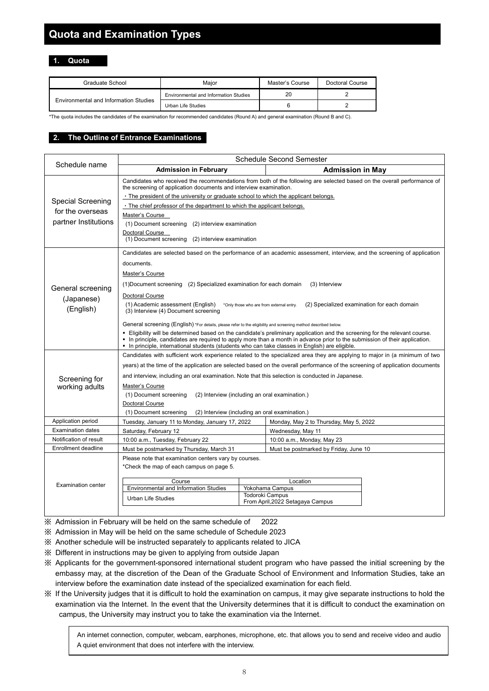## **Quota and Examination Types**

**1. Quota**

| Graduate School                       | Maior                                 | Master's Course | Doctoral Course |
|---------------------------------------|---------------------------------------|-----------------|-----------------|
|                                       | Environmental and Information Studies | 20              |                 |
| Environmental and Information Studies | Urban Life Studies                    |                 |                 |

\*The quota includes the candidates of the examination for recommended candidates (Round A) and general examination (Round B and C).

#### **2. The Outline of Entrance Examinations**

|                                                                      | <b>Schedule Second Semester</b>                                                                                                                                                                                                                                                                                                                                                                                                                                                                                                                                                                                                                                                                                                                                                                                                                                                                                               |  |                                        |  |  |
|----------------------------------------------------------------------|-------------------------------------------------------------------------------------------------------------------------------------------------------------------------------------------------------------------------------------------------------------------------------------------------------------------------------------------------------------------------------------------------------------------------------------------------------------------------------------------------------------------------------------------------------------------------------------------------------------------------------------------------------------------------------------------------------------------------------------------------------------------------------------------------------------------------------------------------------------------------------------------------------------------------------|--|----------------------------------------|--|--|
| Schedule name                                                        | <b>Admission in February</b>                                                                                                                                                                                                                                                                                                                                                                                                                                                                                                                                                                                                                                                                                                                                                                                                                                                                                                  |  | <b>Admission in May</b>                |  |  |
| <b>Special Screening</b><br>for the overseas<br>partner Institutions | Candidates who received the recommendations from both of the following are selected based on the overall performance of<br>the screening of application documents and interview examination.<br>. The president of the university or graduate school to which the applicant belongs.<br>. The chief professor of the department to which the applicant belongs.<br>Master's Course<br>(1) Document screening (2) interview examination                                                                                                                                                                                                                                                                                                                                                                                                                                                                                        |  |                                        |  |  |
|                                                                      | Doctoral Course<br>(1) Document screening (2) interview examination                                                                                                                                                                                                                                                                                                                                                                                                                                                                                                                                                                                                                                                                                                                                                                                                                                                           |  |                                        |  |  |
| General screening<br>(Japanese)<br>(English)                         | Candidates are selected based on the performance of an academic assessment, interview, and the screening of application<br>documents.<br>Master's Course<br>(1) Document screening (2) Specialized examination for each domain<br>(3) Interview<br>Doctoral Course<br>(1) Academic assessment (English)<br>(2) Specialized examination for each domain<br>*Only those who are from external entry.<br>(3) Interview (4) Document screening<br>General screening (English) *For details, please refer to the eligibility and screening method described below.<br>. Eligibility will be determined based on the candidate's preliminary application and the screening for the relevant course.<br>In principle, candidates are required to apply more than a month in advance prior to the submission of their application.<br>• In principle, international students (students who can take classes in English) are eligible. |  |                                        |  |  |
| Screening for<br>working adults                                      | Candidates with sufficient work experience related to the specialized area they are applying to major in (a minimum of two<br>years) at the time of the application are selected based on the overall performance of the screening of application documents<br>and interview, including an oral examination. Note that this selection is conducted in Japanese.<br>Master's Course<br>(1) Document screening<br>(2) Interview (including an oral examination.)<br>Doctoral Course<br>(1) Document screening<br>(2) Interview (including an oral examination.)                                                                                                                                                                                                                                                                                                                                                                 |  |                                        |  |  |
| Application period                                                   | Tuesday, January 11 to Monday, January 17, 2022                                                                                                                                                                                                                                                                                                                                                                                                                                                                                                                                                                                                                                                                                                                                                                                                                                                                               |  | Monday, May 2 to Thursday, May 5, 2022 |  |  |
| Examination dates                                                    | Saturday, February 12                                                                                                                                                                                                                                                                                                                                                                                                                                                                                                                                                                                                                                                                                                                                                                                                                                                                                                         |  | Wednesday, May 11                      |  |  |
| Notification of result                                               | 10:00 a.m., Tuesday, February 22                                                                                                                                                                                                                                                                                                                                                                                                                                                                                                                                                                                                                                                                                                                                                                                                                                                                                              |  | 10:00 a.m., Monday, May 23             |  |  |
| Enrollment deadline                                                  | Must be postmarked by Thursday, March 31                                                                                                                                                                                                                                                                                                                                                                                                                                                                                                                                                                                                                                                                                                                                                                                                                                                                                      |  | Must be postmarked by Friday, June 10  |  |  |
| <b>Examination center</b>                                            | Please note that examination centers vary by courses.<br>*Check the map of each campus on page 5.                                                                                                                                                                                                                                                                                                                                                                                                                                                                                                                                                                                                                                                                                                                                                                                                                             |  |                                        |  |  |
|                                                                      | Course<br>Location<br>Environmental and Information Studies<br>Yokohama Campus<br><b>Todoroki Campus</b><br>Urban Life Studies<br>From April, 2022 Setagaya Campus                                                                                                                                                                                                                                                                                                                                                                                                                                                                                                                                                                                                                                                                                                                                                            |  |                                        |  |  |

※ Admission in February will be held on the same schedule of 2022

※ Admission in May will be held on the same schedule of Schedule 2023

- ※ Another schedule will be instructed separately to applicants related to JICA
- ※ Different in instructions may be given to applying from outside Japan
- ※ Applicants for the government-sponsored international student program who have passed the initial screening by the embassy may, at the discretion of the Dean of the Graduate School of Environment and Information Studies, take an interview before the examination date instead of the specialized examination for each field.
- ※ If the University judges that it is difficult to hold the examination on campus, it may give separate instructions to hold the examination via the Internet. In the event that the University determines that it is difficult to conduct the examination on campus, the University may instruct you to take the examination via the Internet.

 An internet connection, computer, webcam, earphones, microphone, etc. that allows you to send and receive video and audio A quiet environment that does not interfere with the interview.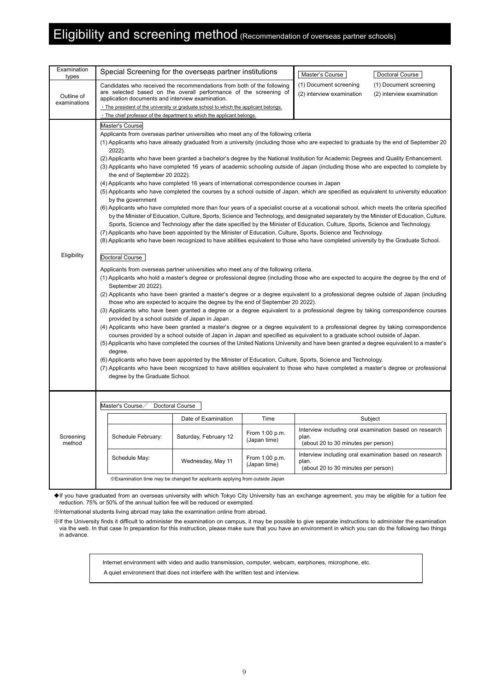## Eligibility and screening method (Recommendation of overseas partner schools)

| Examination<br>types | Special Screening for the overseas partner institutions                                                                                                                                                                                                                                                                                                                                                                                                                                                                                                                                                                                                                                                                                                                                                                                                                                                                                                                                                                                                                                                                                                                                                                                                                                                                                                                                                                                                                                                                                                                                                                                                                                                                                                                                                                                                                                                                                                                                                                                                                                                                                                                                                                                                                                                                                                                                                                                                                                                                                                                                                                                                                                                                                                                                                                                                                                                    |                                                                                                                                             |                                | Master's Course                                     | Doctoral Course                                        |  |  |
|----------------------|------------------------------------------------------------------------------------------------------------------------------------------------------------------------------------------------------------------------------------------------------------------------------------------------------------------------------------------------------------------------------------------------------------------------------------------------------------------------------------------------------------------------------------------------------------------------------------------------------------------------------------------------------------------------------------------------------------------------------------------------------------------------------------------------------------------------------------------------------------------------------------------------------------------------------------------------------------------------------------------------------------------------------------------------------------------------------------------------------------------------------------------------------------------------------------------------------------------------------------------------------------------------------------------------------------------------------------------------------------------------------------------------------------------------------------------------------------------------------------------------------------------------------------------------------------------------------------------------------------------------------------------------------------------------------------------------------------------------------------------------------------------------------------------------------------------------------------------------------------------------------------------------------------------------------------------------------------------------------------------------------------------------------------------------------------------------------------------------------------------------------------------------------------------------------------------------------------------------------------------------------------------------------------------------------------------------------------------------------------------------------------------------------------------------------------------------------------------------------------------------------------------------------------------------------------------------------------------------------------------------------------------------------------------------------------------------------------------------------------------------------------------------------------------------------------------------------------------------------------------------------------------------------------|---------------------------------------------------------------------------------------------------------------------------------------------|--------------------------------|-----------------------------------------------------|--------------------------------------------------------|--|--|
| Outline of           | application documents and interview examination.                                                                                                                                                                                                                                                                                                                                                                                                                                                                                                                                                                                                                                                                                                                                                                                                                                                                                                                                                                                                                                                                                                                                                                                                                                                                                                                                                                                                                                                                                                                                                                                                                                                                                                                                                                                                                                                                                                                                                                                                                                                                                                                                                                                                                                                                                                                                                                                                                                                                                                                                                                                                                                                                                                                                                                                                                                                           | Candidates who received the recommendations from both of the following<br>are selected based on the overall performance of the screening of |                                | (1) Document screening<br>(2) interview examination | (1) Document screening<br>(2) interview examination    |  |  |
| examinations         |                                                                                                                                                                                                                                                                                                                                                                                                                                                                                                                                                                                                                                                                                                                                                                                                                                                                                                                                                                                                                                                                                                                                                                                                                                                                                                                                                                                                                                                                                                                                                                                                                                                                                                                                                                                                                                                                                                                                                                                                                                                                                                                                                                                                                                                                                                                                                                                                                                                                                                                                                                                                                                                                                                                                                                                                                                                                                                            | · The president of the university or graduate school to which the applicant belongs.                                                        |                                |                                                     |                                                        |  |  |
|                      |                                                                                                                                                                                                                                                                                                                                                                                                                                                                                                                                                                                                                                                                                                                                                                                                                                                                                                                                                                                                                                                                                                                                                                                                                                                                                                                                                                                                                                                                                                                                                                                                                                                                                                                                                                                                                                                                                                                                                                                                                                                                                                                                                                                                                                                                                                                                                                                                                                                                                                                                                                                                                                                                                                                                                                                                                                                                                                            | . The chief professor of the department to which the applicant belongs.                                                                     |                                |                                                     |                                                        |  |  |
| Eligibility          | Applicants from overseas partner universities who meet any of the following criteria<br>(1) Applicants who have already graduated from a university (including those who are expected to graduate by the end of September 20<br>2022).<br>(2) Applicants who have been granted a bachelor's degree by the National Institution for Academic Degrees and Quality Enhancement.<br>(3) Applicants who have completed 16 years of academic schooling outside of Japan (including those who are expected to complete by<br>the end of September 20 2022).<br>(4) Applicants who have completed 16 years of international correspondence courses in Japan<br>(5) Applicants who have completed the courses by a school outside of Japan, which are specified as equivalent to university education<br>by the government<br>(6) Applicants who have completed more than four years of a specialist course at a vocational school, which meets the criteria specified<br>by the Minister of Education, Culture, Sports, Science and Technology, and designated separately by the Minister of Education, Culture,<br>Sports, Science and Technology after the date specified by the Minister of Education, Culture, Sports, Science and Technology.<br>(7) Applicants who have been appointed by the Minister of Education, Culture, Sports, Science and Technology.<br>(8) Applicants who have been recognized to have abilities equivalent to those who have completed university by the Graduate School.<br>Doctoral Course<br>Applicants from overseas partner universities who meet any of the following criteria.<br>(1) Applicants who hold a master's degree or professional degree (including those who are expected to acquire the degree by the end of<br>September 20 2022).<br>(2) Applicants who have been granted a master's degree or a degree equivalent to a professional degree outside of Japan (including<br>those who are expected to acquire the degree by the end of September 20 2022).<br>(3) Applicants who have been granted a degree or a degree equivalent to a professional degree by taking correspondence courses<br>provided by a school outside of Japan in Japan.<br>(4) Applicants who have been granted a master's degree or a degree equivalent to a professional degree by taking correspondence<br>courses provided by a school outside of Japan in Japan and specified as equivalent to a graduate school outside of Japan.<br>(5) Applicants who have completed the courses of the United Nations University and have been granted a degree equivalent to a master's<br>degree.<br>(6) Applicants who have been appointed by the Minister of Education, Culture, Sports, Science and Technology.<br>(7) Applicants who have been recognized to have abilities equivalent to those who have completed a master's degree or professional<br>degree by the Graduate School. |                                                                                                                                             |                                |                                                     |                                                        |  |  |
|                      | Master's Course                                                                                                                                                                                                                                                                                                                                                                                                                                                                                                                                                                                                                                                                                                                                                                                                                                                                                                                                                                                                                                                                                                                                                                                                                                                                                                                                                                                                                                                                                                                                                                                                                                                                                                                                                                                                                                                                                                                                                                                                                                                                                                                                                                                                                                                                                                                                                                                                                                                                                                                                                                                                                                                                                                                                                                                                                                                                                            | Doctoral Course                                                                                                                             |                                |                                                     |                                                        |  |  |
|                      |                                                                                                                                                                                                                                                                                                                                                                                                                                                                                                                                                                                                                                                                                                                                                                                                                                                                                                                                                                                                                                                                                                                                                                                                                                                                                                                                                                                                                                                                                                                                                                                                                                                                                                                                                                                                                                                                                                                                                                                                                                                                                                                                                                                                                                                                                                                                                                                                                                                                                                                                                                                                                                                                                                                                                                                                                                                                                                            | Date of Examination                                                                                                                         | Time                           |                                                     | Subject                                                |  |  |
| Screening<br>method  | Schedule February:                                                                                                                                                                                                                                                                                                                                                                                                                                                                                                                                                                                                                                                                                                                                                                                                                                                                                                                                                                                                                                                                                                                                                                                                                                                                                                                                                                                                                                                                                                                                                                                                                                                                                                                                                                                                                                                                                                                                                                                                                                                                                                                                                                                                                                                                                                                                                                                                                                                                                                                                                                                                                                                                                                                                                                                                                                                                                         | Saturday, February 12                                                                                                                       | From 1:00 p.m.<br>(Japan time) | plan.<br>(about 20 to 30 minutes per person)        | Interview including oral examination based on research |  |  |
|                      | Schedule May:                                                                                                                                                                                                                                                                                                                                                                                                                                                                                                                                                                                                                                                                                                                                                                                                                                                                                                                                                                                                                                                                                                                                                                                                                                                                                                                                                                                                                                                                                                                                                                                                                                                                                                                                                                                                                                                                                                                                                                                                                                                                                                                                                                                                                                                                                                                                                                                                                                                                                                                                                                                                                                                                                                                                                                                                                                                                                              | Wednesday, May 11                                                                                                                           | From 1:00 p.m.<br>(Japan time) | plan.<br>(about 20 to 30 minutes per person)        | Interview including oral examination based on research |  |  |
|                      |                                                                                                                                                                                                                                                                                                                                                                                                                                                                                                                                                                                                                                                                                                                                                                                                                                                                                                                                                                                                                                                                                                                                                                                                                                                                                                                                                                                                                                                                                                                                                                                                                                                                                                                                                                                                                                                                                                                                                                                                                                                                                                                                                                                                                                                                                                                                                                                                                                                                                                                                                                                                                                                                                                                                                                                                                                                                                                            | *Examination time may be changed for applicants applying from outside Japan                                                                 |                                |                                                     |                                                        |  |  |

◆If you have graduated from an overseas university with which Tokyo City University has an exchange agreement, you may be eligible for a tuition fee reduction. 75% or 50% of the annual tuition fee will be reduced or exempted.

※International students living abroad may take the examination online from abroad.

※If the University finds it difficult to administer the examination on campus, it may be possible to give separate instructions to administer the examination via the web. In that case In preparation for this instruction, please make sure that you have an environment in which you can do the following two things in advance.

Internet environment with video and audio transmission, computer, webcam, earphones, microphone, etc.

A quiet environment that does not interfere with the written test and interview.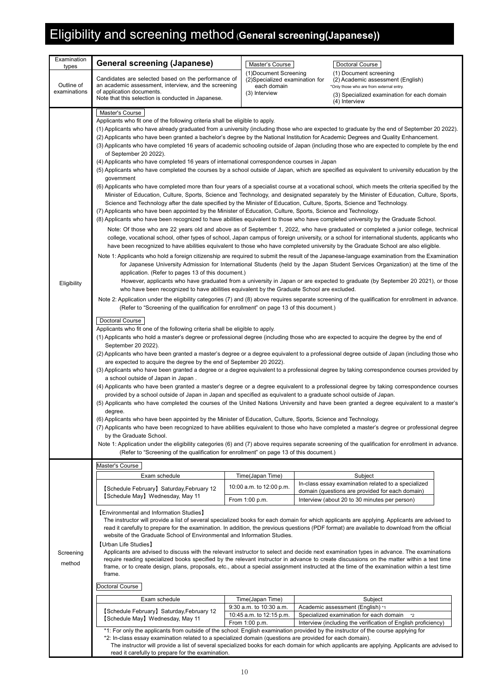## Eligibility and screening method (**General screening(Japanese))**

| Examination                |                                                                                                                                                                                                                                                                                                                                                                                                                                                                                                                                                                                                                                                                                                                                                                                                                                                                                                                                                                                                                                                                                                                                                                                                                                                                                                                                                                                                                                                                                                                                                                                                                                                                                                                                                                                                                                                                                                                                                                                                                                                                                                                                                                                                                                                                                                                                                                                                                                                                                                                                                                                                                                                                                                                                                                                                                                                                                                                                                                                                                                                                                                                                                                                                                                                                                                                                                                                                                                                                                                                                                                                                                                                                                                                                                                                                                                                                                                                                                                                                              |                                                          |                                         |                                                                                                        |  |  |  |
|----------------------------|--------------------------------------------------------------------------------------------------------------------------------------------------------------------------------------------------------------------------------------------------------------------------------------------------------------------------------------------------------------------------------------------------------------------------------------------------------------------------------------------------------------------------------------------------------------------------------------------------------------------------------------------------------------------------------------------------------------------------------------------------------------------------------------------------------------------------------------------------------------------------------------------------------------------------------------------------------------------------------------------------------------------------------------------------------------------------------------------------------------------------------------------------------------------------------------------------------------------------------------------------------------------------------------------------------------------------------------------------------------------------------------------------------------------------------------------------------------------------------------------------------------------------------------------------------------------------------------------------------------------------------------------------------------------------------------------------------------------------------------------------------------------------------------------------------------------------------------------------------------------------------------------------------------------------------------------------------------------------------------------------------------------------------------------------------------------------------------------------------------------------------------------------------------------------------------------------------------------------------------------------------------------------------------------------------------------------------------------------------------------------------------------------------------------------------------------------------------------------------------------------------------------------------------------------------------------------------------------------------------------------------------------------------------------------------------------------------------------------------------------------------------------------------------------------------------------------------------------------------------------------------------------------------------------------------------------------------------------------------------------------------------------------------------------------------------------------------------------------------------------------------------------------------------------------------------------------------------------------------------------------------------------------------------------------------------------------------------------------------------------------------------------------------------------------------------------------------------------------------------------------------------------------------------------------------------------------------------------------------------------------------------------------------------------------------------------------------------------------------------------------------------------------------------------------------------------------------------------------------------------------------------------------------------------------------------------------------------------------------------------------------------|----------------------------------------------------------|-----------------------------------------|--------------------------------------------------------------------------------------------------------|--|--|--|
| types                      | <b>General screening (Japanese)</b>                                                                                                                                                                                                                                                                                                                                                                                                                                                                                                                                                                                                                                                                                                                                                                                                                                                                                                                                                                                                                                                                                                                                                                                                                                                                                                                                                                                                                                                                                                                                                                                                                                                                                                                                                                                                                                                                                                                                                                                                                                                                                                                                                                                                                                                                                                                                                                                                                                                                                                                                                                                                                                                                                                                                                                                                                                                                                                                                                                                                                                                                                                                                                                                                                                                                                                                                                                                                                                                                                                                                                                                                                                                                                                                                                                                                                                                                                                                                                                          | Master's Course                                          |                                         | Doctoral Course                                                                                        |  |  |  |
|                            | Candidates are selected based on the performance of                                                                                                                                                                                                                                                                                                                                                                                                                                                                                                                                                                                                                                                                                                                                                                                                                                                                                                                                                                                                                                                                                                                                                                                                                                                                                                                                                                                                                                                                                                                                                                                                                                                                                                                                                                                                                                                                                                                                                                                                                                                                                                                                                                                                                                                                                                                                                                                                                                                                                                                                                                                                                                                                                                                                                                                                                                                                                                                                                                                                                                                                                                                                                                                                                                                                                                                                                                                                                                                                                                                                                                                                                                                                                                                                                                                                                                                                                                                                                          | (1) Document Screening<br>(2)Specialized examination for |                                         | (1) Document screening<br>(2) Academic assessment (English)                                            |  |  |  |
| Outline of<br>examinations | an academic assessment, interview, and the screening<br>of application documents.                                                                                                                                                                                                                                                                                                                                                                                                                                                                                                                                                                                                                                                                                                                                                                                                                                                                                                                                                                                                                                                                                                                                                                                                                                                                                                                                                                                                                                                                                                                                                                                                                                                                                                                                                                                                                                                                                                                                                                                                                                                                                                                                                                                                                                                                                                                                                                                                                                                                                                                                                                                                                                                                                                                                                                                                                                                                                                                                                                                                                                                                                                                                                                                                                                                                                                                                                                                                                                                                                                                                                                                                                                                                                                                                                                                                                                                                                                                            | each domain                                              |                                         | *Only those who are from external entry.                                                               |  |  |  |
|                            | Note that this selection is conducted in Japanese.                                                                                                                                                                                                                                                                                                                                                                                                                                                                                                                                                                                                                                                                                                                                                                                                                                                                                                                                                                                                                                                                                                                                                                                                                                                                                                                                                                                                                                                                                                                                                                                                                                                                                                                                                                                                                                                                                                                                                                                                                                                                                                                                                                                                                                                                                                                                                                                                                                                                                                                                                                                                                                                                                                                                                                                                                                                                                                                                                                                                                                                                                                                                                                                                                                                                                                                                                                                                                                                                                                                                                                                                                                                                                                                                                                                                                                                                                                                                                           | (3) Interview                                            |                                         | (3) Specialized examination for each domain                                                            |  |  |  |
| Eligibility                | (4) Interview<br>Master's Course<br>Applicants who fit one of the following criteria shall be eligible to apply.<br>(1) Applicants who have already graduated from a university (including those who are expected to graduate by the end of September 20 2022).<br>(2) Applicants who have been granted a bachelor's degree by the National Institution for Academic Degrees and Quality Enhancement.<br>(3) Applicants who have completed 16 years of academic schooling outside of Japan (including those who are expected to complete by the end<br>of September 20 2022).<br>(4) Applicants who have completed 16 years of international correspondence courses in Japan<br>(5) Applicants who have completed the courses by a school outside of Japan, which are specified as equivalent to university education by the<br>government<br>(6) Applicants who have completed more than four years of a specialist course at a vocational school, which meets the criteria specified by the<br>Minister of Education, Culture, Sports, Science and Technology, and designated separately by the Minister of Education, Culture, Sports,<br>Science and Technology after the date specified by the Minister of Education, Culture, Sports, Science and Technology.<br>(7) Applicants who have been appointed by the Minister of Education, Culture, Sports, Science and Technology.<br>(8) Applicants who have been recognized to have abilities equivalent to those who have completed university by the Graduate School.<br>Note: Of those who are 22 years old and above as of September 1, 2022, who have graduated or completed a junior college, technical<br>college, vocational school, other types of school, Japan campus of foreign university, or a school for international students, applicants who<br>have been recognized to have abilities equivalent to those who have completed university by the Graduate School are also eligible.<br>Note 1: Applicants who hold a foreign citizenship are required to submit the result of the Japanese-language examination from the Examination<br>for Japanese University Admission for International Students (held by the Japan Student Services Organization) at the time of the<br>application. (Refer to pages 13 of this document.)<br>However, applicants who have graduated from a university in Japan or are expected to graduate (by September 20 2021), or those<br>who have been recognized to have abilities equivalent by the Graduate School are excluded.<br>Note 2: Application under the eligibility categories (7) and (8) above requires separate screening of the qualification for enrollment in advance.<br>(Refer to "Screening of the qualification for enrollment" on page 13 of this document.)<br>Doctoral Course<br>Applicants who fit one of the following criteria shall be eligible to apply.<br>(1) Applicants who hold a master's degree or professional degree (including those who are expected to acquire the degree by the end of<br>September 20 2022).<br>(2) Applicants who have been granted a master's degree or a degree equivalent to a professional degree outside of Japan (including those who<br>are expected to acquire the degree by the end of September 20 2022).<br>(3) Applicants who have been granted a degree or a degree equivalent to a professional degree by taking correspondence courses provided by<br>a school outside of Japan in Japan.<br>(4) Applicants who have been granted a master's degree or a degree equivalent to a professional degree by taking correspondence courses<br>provided by a school outside of Japan in Japan and specified as equivalent to a graduate school outside of Japan.<br>(5) Applicants who have completed the courses of the United Nations University and have been granted a degree equivalent to a master's<br>degree.<br>(6) Applicants who have been appointed by the Minister of Education, Culture, Sports, Science and Technology. |                                                          |                                         |                                                                                                        |  |  |  |
|                            | Note 1: Application under the eligibility categories (6) and (7) above requires separate screening of the qualification for enrollment in advance.<br>(Refer to "Screening of the qualification for enrollment" on page 13 of this document.)                                                                                                                                                                                                                                                                                                                                                                                                                                                                                                                                                                                                                                                                                                                                                                                                                                                                                                                                                                                                                                                                                                                                                                                                                                                                                                                                                                                                                                                                                                                                                                                                                                                                                                                                                                                                                                                                                                                                                                                                                                                                                                                                                                                                                                                                                                                                                                                                                                                                                                                                                                                                                                                                                                                                                                                                                                                                                                                                                                                                                                                                                                                                                                                                                                                                                                                                                                                                                                                                                                                                                                                                                                                                                                                                                                |                                                          |                                         |                                                                                                        |  |  |  |
|                            | Master's Course                                                                                                                                                                                                                                                                                                                                                                                                                                                                                                                                                                                                                                                                                                                                                                                                                                                                                                                                                                                                                                                                                                                                                                                                                                                                                                                                                                                                                                                                                                                                                                                                                                                                                                                                                                                                                                                                                                                                                                                                                                                                                                                                                                                                                                                                                                                                                                                                                                                                                                                                                                                                                                                                                                                                                                                                                                                                                                                                                                                                                                                                                                                                                                                                                                                                                                                                                                                                                                                                                                                                                                                                                                                                                                                                                                                                                                                                                                                                                                                              |                                                          |                                         |                                                                                                        |  |  |  |
|                            | Exam schedule                                                                                                                                                                                                                                                                                                                                                                                                                                                                                                                                                                                                                                                                                                                                                                                                                                                                                                                                                                                                                                                                                                                                                                                                                                                                                                                                                                                                                                                                                                                                                                                                                                                                                                                                                                                                                                                                                                                                                                                                                                                                                                                                                                                                                                                                                                                                                                                                                                                                                                                                                                                                                                                                                                                                                                                                                                                                                                                                                                                                                                                                                                                                                                                                                                                                                                                                                                                                                                                                                                                                                                                                                                                                                                                                                                                                                                                                                                                                                                                                | Time(Japan Time)                                         |                                         | Subject                                                                                                |  |  |  |
|                            | [Schedule February] Saturday, February 12                                                                                                                                                                                                                                                                                                                                                                                                                                                                                                                                                                                                                                                                                                                                                                                                                                                                                                                                                                                                                                                                                                                                                                                                                                                                                                                                                                                                                                                                                                                                                                                                                                                                                                                                                                                                                                                                                                                                                                                                                                                                                                                                                                                                                                                                                                                                                                                                                                                                                                                                                                                                                                                                                                                                                                                                                                                                                                                                                                                                                                                                                                                                                                                                                                                                                                                                                                                                                                                                                                                                                                                                                                                                                                                                                                                                                                                                                                                                                                    | 10:00 a.m. to 12:00 p.m.                                 |                                         | In-class essay examination related to a specialized<br>domain (questions are provided for each domain) |  |  |  |
|                            | [Schedule May] Wednesday, May 11                                                                                                                                                                                                                                                                                                                                                                                                                                                                                                                                                                                                                                                                                                                                                                                                                                                                                                                                                                                                                                                                                                                                                                                                                                                                                                                                                                                                                                                                                                                                                                                                                                                                                                                                                                                                                                                                                                                                                                                                                                                                                                                                                                                                                                                                                                                                                                                                                                                                                                                                                                                                                                                                                                                                                                                                                                                                                                                                                                                                                                                                                                                                                                                                                                                                                                                                                                                                                                                                                                                                                                                                                                                                                                                                                                                                                                                                                                                                                                             | From 1:00 p.m.                                           |                                         | Interview (about 20 to 30 minutes per person)                                                          |  |  |  |
| Screening<br>method        | [Environmental and Information Studies]<br>The instructor will provide a list of several specialized books for each domain for which applicants are applying. Applicants are advised to<br>read it carefully to prepare for the examination. In addition, the previous questions (PDF format) are available to download from the official<br>website of the Graduate School of Environmental and Information Studies.<br>【Urban Life Studies】<br>Applicants are advised to discuss with the relevant instructor to select and decide next examination types in advance. The examinations<br>require reading specialized books specified by the relevant instructor in advance to create discussions on the matter within a test time<br>frame, or to create design, plans, proposals, etc., about a special assignment instructed at the time of the examination within a test time<br>frame.                                                                                                                                                                                                                                                                                                                                                                                                                                                                                                                                                                                                                                                                                                                                                                                                                                                                                                                                                                                                                                                                                                                                                                                                                                                                                                                                                                                                                                                                                                                                                                                                                                                                                                                                                                                                                                                                                                                                                                                                                                                                                                                                                                                                                                                                                                                                                                                                                                                                                                                                                                                                                                                                                                                                                                                                                                                                                                                                                                                                                                                                                                                |                                                          |                                         |                                                                                                        |  |  |  |
|                            | Doctoral Course                                                                                                                                                                                                                                                                                                                                                                                                                                                                                                                                                                                                                                                                                                                                                                                                                                                                                                                                                                                                                                                                                                                                                                                                                                                                                                                                                                                                                                                                                                                                                                                                                                                                                                                                                                                                                                                                                                                                                                                                                                                                                                                                                                                                                                                                                                                                                                                                                                                                                                                                                                                                                                                                                                                                                                                                                                                                                                                                                                                                                                                                                                                                                                                                                                                                                                                                                                                                                                                                                                                                                                                                                                                                                                                                                                                                                                                                                                                                                                                              |                                                          |                                         |                                                                                                        |  |  |  |
|                            | Exam schedule                                                                                                                                                                                                                                                                                                                                                                                                                                                                                                                                                                                                                                                                                                                                                                                                                                                                                                                                                                                                                                                                                                                                                                                                                                                                                                                                                                                                                                                                                                                                                                                                                                                                                                                                                                                                                                                                                                                                                                                                                                                                                                                                                                                                                                                                                                                                                                                                                                                                                                                                                                                                                                                                                                                                                                                                                                                                                                                                                                                                                                                                                                                                                                                                                                                                                                                                                                                                                                                                                                                                                                                                                                                                                                                                                                                                                                                                                                                                                                                                | Time(Japan Time)                                         |                                         | Subject                                                                                                |  |  |  |
|                            |                                                                                                                                                                                                                                                                                                                                                                                                                                                                                                                                                                                                                                                                                                                                                                                                                                                                                                                                                                                                                                                                                                                                                                                                                                                                                                                                                                                                                                                                                                                                                                                                                                                                                                                                                                                                                                                                                                                                                                                                                                                                                                                                                                                                                                                                                                                                                                                                                                                                                                                                                                                                                                                                                                                                                                                                                                                                                                                                                                                                                                                                                                                                                                                                                                                                                                                                                                                                                                                                                                                                                                                                                                                                                                                                                                                                                                                                                                                                                                                                              | 9:30 a.m. to 10:30 a.m.                                  | Academic assessment (English) *1        |                                                                                                        |  |  |  |
|                            | [Schedule February] Saturday, February 12<br>[Schedule May] Wednesday, May 11                                                                                                                                                                                                                                                                                                                                                                                                                                                                                                                                                                                                                                                                                                                                                                                                                                                                                                                                                                                                                                                                                                                                                                                                                                                                                                                                                                                                                                                                                                                                                                                                                                                                                                                                                                                                                                                                                                                                                                                                                                                                                                                                                                                                                                                                                                                                                                                                                                                                                                                                                                                                                                                                                                                                                                                                                                                                                                                                                                                                                                                                                                                                                                                                                                                                                                                                                                                                                                                                                                                                                                                                                                                                                                                                                                                                                                                                                                                                | 10:45 a.m. to 12:15 p.m.                                 | Specialized examination for each domain | $^*2$                                                                                                  |  |  |  |
|                            | *1: For only the applicants from outside of the school: English examination provided by the instructor of the course applying for                                                                                                                                                                                                                                                                                                                                                                                                                                                                                                                                                                                                                                                                                                                                                                                                                                                                                                                                                                                                                                                                                                                                                                                                                                                                                                                                                                                                                                                                                                                                                                                                                                                                                                                                                                                                                                                                                                                                                                                                                                                                                                                                                                                                                                                                                                                                                                                                                                                                                                                                                                                                                                                                                                                                                                                                                                                                                                                                                                                                                                                                                                                                                                                                                                                                                                                                                                                                                                                                                                                                                                                                                                                                                                                                                                                                                                                                            | From 1:00 p.m.                                           |                                         | Interview (including the verification of English proficiency)                                          |  |  |  |
|                            | *2: In-class essay examination related to a specialized domain (questions are provided for each domain).                                                                                                                                                                                                                                                                                                                                                                                                                                                                                                                                                                                                                                                                                                                                                                                                                                                                                                                                                                                                                                                                                                                                                                                                                                                                                                                                                                                                                                                                                                                                                                                                                                                                                                                                                                                                                                                                                                                                                                                                                                                                                                                                                                                                                                                                                                                                                                                                                                                                                                                                                                                                                                                                                                                                                                                                                                                                                                                                                                                                                                                                                                                                                                                                                                                                                                                                                                                                                                                                                                                                                                                                                                                                                                                                                                                                                                                                                                     |                                                          |                                         |                                                                                                        |  |  |  |
|                            | The instructor will provide a list of several specialized books for each domain for which applicants are applying. Applicants are advised to<br>read it carefully to prepare for the examination.                                                                                                                                                                                                                                                                                                                                                                                                                                                                                                                                                                                                                                                                                                                                                                                                                                                                                                                                                                                                                                                                                                                                                                                                                                                                                                                                                                                                                                                                                                                                                                                                                                                                                                                                                                                                                                                                                                                                                                                                                                                                                                                                                                                                                                                                                                                                                                                                                                                                                                                                                                                                                                                                                                                                                                                                                                                                                                                                                                                                                                                                                                                                                                                                                                                                                                                                                                                                                                                                                                                                                                                                                                                                                                                                                                                                            |                                                          |                                         |                                                                                                        |  |  |  |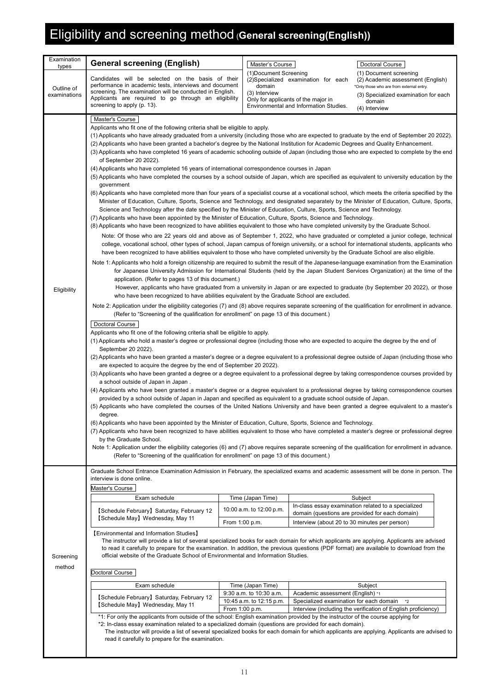## Eligibility and screening method (**General screening(English))**

| Examination<br>types | <b>General screening (English)</b>                                                                                                                                                                                                                                                                                                                                                                                                                                                                                                                                                                                                                                                                                                                                                                                                                                                                                                                                                                                                                                                                                                                                                                                                                                                                                                                                                                                                                                                                                                                                                                                                                                                                                                                                                                                                                                                                                                                                                                                                                                                                                                                                                                                                                                                                                                                                                                                                                                                                                                                                                                                                                                                                                                                                                                                                                                                                                                                                                                                                                                                                                                                                                                                                                                                                                                                                                                                                                                                                                                                                                                                                                                                                                                                                                                                                                                                                                                                                                                                                                                                                                                                                                                                                                                                                                                                                                                                   | Master's Course                                   |                                                                               | Doctoral Course                                                                                         |  |  |
|----------------------|----------------------------------------------------------------------------------------------------------------------------------------------------------------------------------------------------------------------------------------------------------------------------------------------------------------------------------------------------------------------------------------------------------------------------------------------------------------------------------------------------------------------------------------------------------------------------------------------------------------------------------------------------------------------------------------------------------------------------------------------------------------------------------------------------------------------------------------------------------------------------------------------------------------------------------------------------------------------------------------------------------------------------------------------------------------------------------------------------------------------------------------------------------------------------------------------------------------------------------------------------------------------------------------------------------------------------------------------------------------------------------------------------------------------------------------------------------------------------------------------------------------------------------------------------------------------------------------------------------------------------------------------------------------------------------------------------------------------------------------------------------------------------------------------------------------------------------------------------------------------------------------------------------------------------------------------------------------------------------------------------------------------------------------------------------------------------------------------------------------------------------------------------------------------------------------------------------------------------------------------------------------------------------------------------------------------------------------------------------------------------------------------------------------------------------------------------------------------------------------------------------------------------------------------------------------------------------------------------------------------------------------------------------------------------------------------------------------------------------------------------------------------------------------------------------------------------------------------------------------------------------------------------------------------------------------------------------------------------------------------------------------------------------------------------------------------------------------------------------------------------------------------------------------------------------------------------------------------------------------------------------------------------------------------------------------------------------------------------------------------------------------------------------------------------------------------------------------------------------------------------------------------------------------------------------------------------------------------------------------------------------------------------------------------------------------------------------------------------------------------------------------------------------------------------------------------------------------------------------------------------------------------------------------------------------------------------------------------------------------------------------------------------------------------------------------------------------------------------------------------------------------------------------------------------------------------------------------------------------------------------------------------------------------------------------------------------------------------------------------------------------------------------------------------|---------------------------------------------------|-------------------------------------------------------------------------------|---------------------------------------------------------------------------------------------------------|--|--|
| Outline of           | Candidates will be selected on the basis of their<br>performance in academic tests, interviews and document<br>screening. The examination will be conducted in English.                                                                                                                                                                                                                                                                                                                                                                                                                                                                                                                                                                                                                                                                                                                                                                                                                                                                                                                                                                                                                                                                                                                                                                                                                                                                                                                                                                                                                                                                                                                                                                                                                                                                                                                                                                                                                                                                                                                                                                                                                                                                                                                                                                                                                                                                                                                                                                                                                                                                                                                                                                                                                                                                                                                                                                                                                                                                                                                                                                                                                                                                                                                                                                                                                                                                                                                                                                                                                                                                                                                                                                                                                                                                                                                                                                                                                                                                                                                                                                                                                                                                                                                                                                                                                                              | (1) Document Screening<br>domain<br>(3) Interview | (2)Specialized examination for each                                           | (1) Document screening<br>(2) Academic assessment (English)<br>*Only those who are from external entry. |  |  |
| examinations         | Applicants are required to go through an eligibility<br>screening to apply (p. 13).                                                                                                                                                                                                                                                                                                                                                                                                                                                                                                                                                                                                                                                                                                                                                                                                                                                                                                                                                                                                                                                                                                                                                                                                                                                                                                                                                                                                                                                                                                                                                                                                                                                                                                                                                                                                                                                                                                                                                                                                                                                                                                                                                                                                                                                                                                                                                                                                                                                                                                                                                                                                                                                                                                                                                                                                                                                                                                                                                                                                                                                                                                                                                                                                                                                                                                                                                                                                                                                                                                                                                                                                                                                                                                                                                                                                                                                                                                                                                                                                                                                                                                                                                                                                                                                                                                                                  |                                                   | Only for applicants of the major in<br>Environmental and Information Studies. | (3) Specialized examination for each<br>domain<br>(4) Interview                                         |  |  |
| Eligibility          | Master's Course<br>Applicants who fit one of the following criteria shall be eligible to apply.<br>(1) Applicants who have already graduated from a university (including those who are expected to graduate by the end of September 20 2022).<br>(2) Applicants who have been granted a bachelor's degree by the National Institution for Academic Degrees and Quality Enhancement.<br>(3) Applicants who have completed 16 years of academic schooling outside of Japan (including those who are expected to complete by the end<br>of September 20 2022).<br>(4) Applicants who have completed 16 years of international correspondence courses in Japan<br>(5) Applicants who have completed the courses by a school outside of Japan, which are specified as equivalent to university education by the<br>government<br>(6) Applicants who have completed more than four years of a specialist course at a vocational school, which meets the criteria specified by the<br>Minister of Education, Culture, Sports, Science and Technology, and designated separately by the Minister of Education, Culture, Sports,<br>Science and Technology after the date specified by the Minister of Education, Culture, Sports, Science and Technology.<br>(7) Applicants who have been appointed by the Minister of Education, Culture, Sports, Science and Technology.<br>(8) Applicants who have been recognized to have abilities equivalent to those who have completed university by the Graduate School.<br>Note: Of those who are 22 years old and above as of September 1, 2022, who have graduated or completed a junior college, technical<br>college, vocational school, other types of school, Japan campus of foreign university, or a school for international students, applicants who<br>have been recognized to have abilities equivalent to those who have completed university by the Graduate School are also eligible.<br>Note 1: Applicants who hold a foreign citizenship are required to submit the result of the Japanese-language examination from the Examination<br>for Japanese University Admission for International Students (held by the Japan Student Services Organization) at the time of the<br>application. (Refer to pages 13 of this document.)<br>However, applicants who have graduated from a university in Japan or are expected to graduate (by September 20 2022), or those<br>who have been recognized to have abilities equivalent by the Graduate School are excluded.<br>Note 2: Application under the eligibility categories (7) and (8) above requires separate screening of the qualification for enrollment in advance.<br>(Refer to "Screening of the qualification for enrollment" on page 13 of this document.)<br>Doctoral Course<br>Applicants who fit one of the following criteria shall be eligible to apply.<br>(1) Applicants who hold a master's degree or professional degree (including those who are expected to acquire the degree by the end of<br>September 20 2022).<br>(2) Applicants who have been granted a master's degree or a degree equivalent to a professional degree outside of Japan (including those who<br>are expected to acquire the degree by the end of September 20 2022).<br>(3) Applicants who have been granted a degree or a degree equivalent to a professional degree by taking correspondence courses provided by<br>a school outside of Japan in Japan.<br>(4) Applicants who have been granted a master's degree or a degree equivalent to a professional degree by taking correspondence courses<br>provided by a school outside of Japan in Japan and specified as equivalent to a graduate school outside of Japan.<br>(5) Applicants who have completed the courses of the United Nations University and have been granted a degree equivalent to a master's<br>degree.<br>(6) Applicants who have been appointed by the Minister of Education, Culture, Sports, Science and Technology.<br>(7) Applicants who have been recognized to have abilities equivalent to those who have completed a master's degree or professional degree<br>by the Graduate School.<br>Note 1: Application under the eligibility categories (6) and (7) above requires separate screening of the qualification for enrollment in advance.<br>(Refer to "Screening of the qualification for enrollment" on page 13 of this document.) |                                                   |                                                                               |                                                                                                         |  |  |
|                      | Graduate School Entrance Examination Admission in February, the specialized exams and academic assessment will be done in person. The<br>interview is done online.<br>Master's Course                                                                                                                                                                                                                                                                                                                                                                                                                                                                                                                                                                                                                                                                                                                                                                                                                                                                                                                                                                                                                                                                                                                                                                                                                                                                                                                                                                                                                                                                                                                                                                                                                                                                                                                                                                                                                                                                                                                                                                                                                                                                                                                                                                                                                                                                                                                                                                                                                                                                                                                                                                                                                                                                                                                                                                                                                                                                                                                                                                                                                                                                                                                                                                                                                                                                                                                                                                                                                                                                                                                                                                                                                                                                                                                                                                                                                                                                                                                                                                                                                                                                                                                                                                                                                                |                                                   |                                                                               |                                                                                                         |  |  |
|                      | Exam schedule                                                                                                                                                                                                                                                                                                                                                                                                                                                                                                                                                                                                                                                                                                                                                                                                                                                                                                                                                                                                                                                                                                                                                                                                                                                                                                                                                                                                                                                                                                                                                                                                                                                                                                                                                                                                                                                                                                                                                                                                                                                                                                                                                                                                                                                                                                                                                                                                                                                                                                                                                                                                                                                                                                                                                                                                                                                                                                                                                                                                                                                                                                                                                                                                                                                                                                                                                                                                                                                                                                                                                                                                                                                                                                                                                                                                                                                                                                                                                                                                                                                                                                                                                                                                                                                                                                                                                                                                        | Time (Japan Time)                                 |                                                                               | Subject                                                                                                 |  |  |
|                      | [Schedule February] Saturday, February 12                                                                                                                                                                                                                                                                                                                                                                                                                                                                                                                                                                                                                                                                                                                                                                                                                                                                                                                                                                                                                                                                                                                                                                                                                                                                                                                                                                                                                                                                                                                                                                                                                                                                                                                                                                                                                                                                                                                                                                                                                                                                                                                                                                                                                                                                                                                                                                                                                                                                                                                                                                                                                                                                                                                                                                                                                                                                                                                                                                                                                                                                                                                                                                                                                                                                                                                                                                                                                                                                                                                                                                                                                                                                                                                                                                                                                                                                                                                                                                                                                                                                                                                                                                                                                                                                                                                                                                            | 10:00 a.m. to 12:00 p.m.                          |                                                                               | In-class essay examination related to a specialized                                                     |  |  |
|                      | [Schedule May] Wednesday, May 11                                                                                                                                                                                                                                                                                                                                                                                                                                                                                                                                                                                                                                                                                                                                                                                                                                                                                                                                                                                                                                                                                                                                                                                                                                                                                                                                                                                                                                                                                                                                                                                                                                                                                                                                                                                                                                                                                                                                                                                                                                                                                                                                                                                                                                                                                                                                                                                                                                                                                                                                                                                                                                                                                                                                                                                                                                                                                                                                                                                                                                                                                                                                                                                                                                                                                                                                                                                                                                                                                                                                                                                                                                                                                                                                                                                                                                                                                                                                                                                                                                                                                                                                                                                                                                                                                                                                                                                     | From 1:00 p.m.                                    | Interview (about 20 to 30 minutes per person)                                 | domain (questions are provided for each domain)                                                         |  |  |
|                      | [Environmental and Information Studies]                                                                                                                                                                                                                                                                                                                                                                                                                                                                                                                                                                                                                                                                                                                                                                                                                                                                                                                                                                                                                                                                                                                                                                                                                                                                                                                                                                                                                                                                                                                                                                                                                                                                                                                                                                                                                                                                                                                                                                                                                                                                                                                                                                                                                                                                                                                                                                                                                                                                                                                                                                                                                                                                                                                                                                                                                                                                                                                                                                                                                                                                                                                                                                                                                                                                                                                                                                                                                                                                                                                                                                                                                                                                                                                                                                                                                                                                                                                                                                                                                                                                                                                                                                                                                                                                                                                                                                              |                                                   |                                                                               |                                                                                                         |  |  |
| Screening            | The instructor will provide a list of several specialized books for each domain for which applicants are applying. Applicants are advised<br>to read it carefully to prepare for the examination. In addition, the previous questions (PDF format) are available to download from the<br>official website of the Graduate School of Environmental and Information Studies.                                                                                                                                                                                                                                                                                                                                                                                                                                                                                                                                                                                                                                                                                                                                                                                                                                                                                                                                                                                                                                                                                                                                                                                                                                                                                                                                                                                                                                                                                                                                                                                                                                                                                                                                                                                                                                                                                                                                                                                                                                                                                                                                                                                                                                                                                                                                                                                                                                                                                                                                                                                                                                                                                                                                                                                                                                                                                                                                                                                                                                                                                                                                                                                                                                                                                                                                                                                                                                                                                                                                                                                                                                                                                                                                                                                                                                                                                                                                                                                                                                           |                                                   |                                                                               |                                                                                                         |  |  |
| method               | Doctoral Course                                                                                                                                                                                                                                                                                                                                                                                                                                                                                                                                                                                                                                                                                                                                                                                                                                                                                                                                                                                                                                                                                                                                                                                                                                                                                                                                                                                                                                                                                                                                                                                                                                                                                                                                                                                                                                                                                                                                                                                                                                                                                                                                                                                                                                                                                                                                                                                                                                                                                                                                                                                                                                                                                                                                                                                                                                                                                                                                                                                                                                                                                                                                                                                                                                                                                                                                                                                                                                                                                                                                                                                                                                                                                                                                                                                                                                                                                                                                                                                                                                                                                                                                                                                                                                                                                                                                                                                                      |                                                   |                                                                               |                                                                                                         |  |  |
|                      | Exam schedule                                                                                                                                                                                                                                                                                                                                                                                                                                                                                                                                                                                                                                                                                                                                                                                                                                                                                                                                                                                                                                                                                                                                                                                                                                                                                                                                                                                                                                                                                                                                                                                                                                                                                                                                                                                                                                                                                                                                                                                                                                                                                                                                                                                                                                                                                                                                                                                                                                                                                                                                                                                                                                                                                                                                                                                                                                                                                                                                                                                                                                                                                                                                                                                                                                                                                                                                                                                                                                                                                                                                                                                                                                                                                                                                                                                                                                                                                                                                                                                                                                                                                                                                                                                                                                                                                                                                                                                                        | Time (Japan Time)                                 |                                                                               | Subject                                                                                                 |  |  |
|                      | [Schedule February] Saturday, February 12                                                                                                                                                                                                                                                                                                                                                                                                                                                                                                                                                                                                                                                                                                                                                                                                                                                                                                                                                                                                                                                                                                                                                                                                                                                                                                                                                                                                                                                                                                                                                                                                                                                                                                                                                                                                                                                                                                                                                                                                                                                                                                                                                                                                                                                                                                                                                                                                                                                                                                                                                                                                                                                                                                                                                                                                                                                                                                                                                                                                                                                                                                                                                                                                                                                                                                                                                                                                                                                                                                                                                                                                                                                                                                                                                                                                                                                                                                                                                                                                                                                                                                                                                                                                                                                                                                                                                                            | 9:30 a.m. to 10:30 a.m.                           | Academic assessment (English) *1                                              |                                                                                                         |  |  |
|                      | [Schedule May] Wednesday, May 11                                                                                                                                                                                                                                                                                                                                                                                                                                                                                                                                                                                                                                                                                                                                                                                                                                                                                                                                                                                                                                                                                                                                                                                                                                                                                                                                                                                                                                                                                                                                                                                                                                                                                                                                                                                                                                                                                                                                                                                                                                                                                                                                                                                                                                                                                                                                                                                                                                                                                                                                                                                                                                                                                                                                                                                                                                                                                                                                                                                                                                                                                                                                                                                                                                                                                                                                                                                                                                                                                                                                                                                                                                                                                                                                                                                                                                                                                                                                                                                                                                                                                                                                                                                                                                                                                                                                                                                     | 10:45 a.m. to 12:15 p.m.<br>From 1:00 p.m.        | Specialized examination for each domain                                       | $*2$<br>Interview (including the verification of English proficiency)                                   |  |  |
|                      | *1: For only the applicants from outside of the school: English examination provided by the instructor of the course applying for<br>*2: In-class essay examination related to a specialized domain (questions are provided for each domain).                                                                                                                                                                                                                                                                                                                                                                                                                                                                                                                                                                                                                                                                                                                                                                                                                                                                                                                                                                                                                                                                                                                                                                                                                                                                                                                                                                                                                                                                                                                                                                                                                                                                                                                                                                                                                                                                                                                                                                                                                                                                                                                                                                                                                                                                                                                                                                                                                                                                                                                                                                                                                                                                                                                                                                                                                                                                                                                                                                                                                                                                                                                                                                                                                                                                                                                                                                                                                                                                                                                                                                                                                                                                                                                                                                                                                                                                                                                                                                                                                                                                                                                                                                        |                                                   |                                                                               |                                                                                                         |  |  |
|                      | The instructor will provide a list of several specialized books for each domain for which applicants are applying. Applicants are advised to                                                                                                                                                                                                                                                                                                                                                                                                                                                                                                                                                                                                                                                                                                                                                                                                                                                                                                                                                                                                                                                                                                                                                                                                                                                                                                                                                                                                                                                                                                                                                                                                                                                                                                                                                                                                                                                                                                                                                                                                                                                                                                                                                                                                                                                                                                                                                                                                                                                                                                                                                                                                                                                                                                                                                                                                                                                                                                                                                                                                                                                                                                                                                                                                                                                                                                                                                                                                                                                                                                                                                                                                                                                                                                                                                                                                                                                                                                                                                                                                                                                                                                                                                                                                                                                                         |                                                   |                                                                               |                                                                                                         |  |  |
|                      | read it carefully to prepare for the examination.                                                                                                                                                                                                                                                                                                                                                                                                                                                                                                                                                                                                                                                                                                                                                                                                                                                                                                                                                                                                                                                                                                                                                                                                                                                                                                                                                                                                                                                                                                                                                                                                                                                                                                                                                                                                                                                                                                                                                                                                                                                                                                                                                                                                                                                                                                                                                                                                                                                                                                                                                                                                                                                                                                                                                                                                                                                                                                                                                                                                                                                                                                                                                                                                                                                                                                                                                                                                                                                                                                                                                                                                                                                                                                                                                                                                                                                                                                                                                                                                                                                                                                                                                                                                                                                                                                                                                                    |                                                   |                                                                               |                                                                                                         |  |  |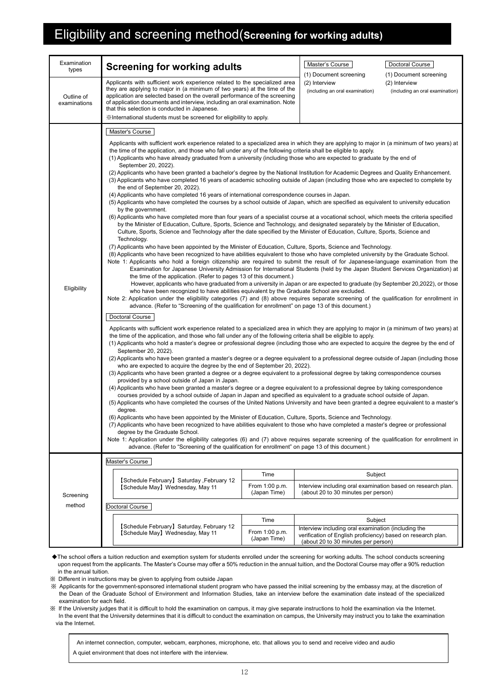## Eligibility and screening method(**Screening for working adults)**

| <b>Screening for working adults</b>                                                                                                                                                                                                                                                                                                                                                                                                                                                                                                                                                                                                                                                                                                                                                                                                                                                                                                                                                                                                                                                                                                                                                                                                                                                                                                                                                                                                                                                                                                                                                                                                                                                                                                                                                                                                                                                                                                                                                                                                                                                                                                                                                                                                                                                                                                                                                                                                                                                                                                                                                                                                                                                                                                                                                                                                                                                                                                                                                                                                                                                                                                                                                                                                                                                                                                                                                                                                                                                                                                                                                                                                                                                                                                                                                                                                                                                                                                                                                                                                                               |                                                                                                                   | Master's Course                                                                                                                                                                                                                                                                                                                                                                            | Doctoral Course<br>(1) Document screening                                                                                                                                                                                                                                                                                      |  |  |
|-------------------------------------------------------------------------------------------------------------------------------------------------------------------------------------------------------------------------------------------------------------------------------------------------------------------------------------------------------------------------------------------------------------------------------------------------------------------------------------------------------------------------------------------------------------------------------------------------------------------------------------------------------------------------------------------------------------------------------------------------------------------------------------------------------------------------------------------------------------------------------------------------------------------------------------------------------------------------------------------------------------------------------------------------------------------------------------------------------------------------------------------------------------------------------------------------------------------------------------------------------------------------------------------------------------------------------------------------------------------------------------------------------------------------------------------------------------------------------------------------------------------------------------------------------------------------------------------------------------------------------------------------------------------------------------------------------------------------------------------------------------------------------------------------------------------------------------------------------------------------------------------------------------------------------------------------------------------------------------------------------------------------------------------------------------------------------------------------------------------------------------------------------------------------------------------------------------------------------------------------------------------------------------------------------------------------------------------------------------------------------------------------------------------------------------------------------------------------------------------------------------------------------------------------------------------------------------------------------------------------------------------------------------------------------------------------------------------------------------------------------------------------------------------------------------------------------------------------------------------------------------------------------------------------------------------------------------------------------------------------------------------------------------------------------------------------------------------------------------------------------------------------------------------------------------------------------------------------------------------------------------------------------------------------------------------------------------------------------------------------------------------------------------------------------------------------------------------------------------------------------------------------------------------------------------------------------------------------------------------------------------------------------------------------------------------------------------------------------------------------------------------------------------------------------------------------------------------------------------------------------------------------------------------------------------------------------------------------------------------------------------------------------------------------------------------|-------------------------------------------------------------------------------------------------------------------|--------------------------------------------------------------------------------------------------------------------------------------------------------------------------------------------------------------------------------------------------------------------------------------------------------------------------------------------------------------------------------------------|--------------------------------------------------------------------------------------------------------------------------------------------------------------------------------------------------------------------------------------------------------------------------------------------------------------------------------|--|--|
| Outline of<br>examinations<br>that this selection is conducted in Japanese.                                                                                                                                                                                                                                                                                                                                                                                                                                                                                                                                                                                                                                                                                                                                                                                                                                                                                                                                                                                                                                                                                                                                                                                                                                                                                                                                                                                                                                                                                                                                                                                                                                                                                                                                                                                                                                                                                                                                                                                                                                                                                                                                                                                                                                                                                                                                                                                                                                                                                                                                                                                                                                                                                                                                                                                                                                                                                                                                                                                                                                                                                                                                                                                                                                                                                                                                                                                                                                                                                                                                                                                                                                                                                                                                                                                                                                                                                                                                                                                       |                                                                                                                   | (2) Interview<br>(2) Interview<br>(including an oral examination)<br>(including an oral examination)                                                                                                                                                                                                                                                                                       |                                                                                                                                                                                                                                                                                                                                |  |  |
|                                                                                                                                                                                                                                                                                                                                                                                                                                                                                                                                                                                                                                                                                                                                                                                                                                                                                                                                                                                                                                                                                                                                                                                                                                                                                                                                                                                                                                                                                                                                                                                                                                                                                                                                                                                                                                                                                                                                                                                                                                                                                                                                                                                                                                                                                                                                                                                                                                                                                                                                                                                                                                                                                                                                                                                                                                                                                                                                                                                                                                                                                                                                                                                                                                                                                                                                                                                                                                                                                                                                                                                                                                                                                                                                                                                                                                                                                                                                                                                                                                                                   |                                                                                                                   |                                                                                                                                                                                                                                                                                                                                                                                            |                                                                                                                                                                                                                                                                                                                                |  |  |
| Applicants with sufficient work experience related to a specialized area in which they are applying to major in (a minimum of two years) at<br>the time of the application, and those who fall under any of the following criteria shall be eligible to apply.<br>(1) Applicants who have already graduated from a university (including those who are expected to graduate by the end of<br>September 20, 2022).<br>(2) Applicants who have been granted a bachelor's degree by the National Institution for Academic Degrees and Quality Enhancement.<br>(3) Applicants who have completed 16 years of academic schooling outside of Japan (including those who are expected to complete by<br>the end of September 20, 2022).<br>(4) Applicants who have completed 16 years of international correspondence courses in Japan.<br>(5) Applicants who have completed the courses by a school outside of Japan, which are specified as equivalent to university education<br>by the government.<br>(6) Applicants who have completed more than four years of a specialist course at a vocational school, which meets the criteria specified<br>by the Minister of Education, Culture, Sports, Science and Technology, and designated separately by the Minister of Education,<br>Culture, Sports, Science and Technology after the date specified by the Minister of Education, Culture, Sports, Science and<br>Technology.<br>(7) Applicants who have been appointed by the Minister of Education, Culture, Sports, Science and Technology.<br>(8) Applicants who have been recognized to have abilities equivalent to those who have completed university by the Graduate School.<br>Note 1: Applicants who hold a foreign citizenship are required to submit the result of for Japanese-language examination from the<br>Examination for Japanese University Admission for International Students (held by the Japan Student Services Organization) at<br>the time of the application. (Refer to pages 13 of this document.)<br>However, applicants who have graduated from a university in Japan or are expected to graduate (by September 20,2022), or those<br>who have been recognized to have abilities equivalent by the Graduate School are excluded.<br>Note 2: Application under the eligibility categories (7) and (8) above requires separate screening of the qualification for enrollment in<br>advance. (Refer to "Screening of the qualification for enrollment" on page 13 of this document.)<br>Doctoral Course<br>Applicants with sufficient work experience related to a specialized area in which they are applying to major in (a minimum of two years) at<br>the time of the application, and those who fall under any of the following criteria shall be eligible to apply.<br>(1) Applicants who hold a master's degree or professional degree (including those who are expected to acquire the degree by the end of<br>September 20, 2022).<br>(2) Applicants who have been granted a master's degree or a degree equivalent to a professional degree outside of Japan (including those<br>who are expected to acquire the degree by the end of September 20, 2022).<br>(3) Applicants who have been granted a degree or a degree equivalent to a professional degree by taking correspondence courses<br>provided by a school outside of Japan in Japan.<br>(4) Applicants who have been granted a master's degree or a degree equivalent to a professional degree by taking correspondence<br>courses provided by a school outside of Japan in Japan and specified as equivalent to a graduate school outside of Japan.<br>(5) Applicants who have completed the courses of the United Nations University and have been granted a degree equivalent to a master's<br>degree.<br>(6) Applicants who have been appointed by the Minister of Education, Culture, Sports, Science and Technology.<br>(7) Applicants who have been recognized to have abilities equivalent to those who have completed a master's degree or professional |                                                                                                                   |                                                                                                                                                                                                                                                                                                                                                                                            |                                                                                                                                                                                                                                                                                                                                |  |  |
|                                                                                                                                                                                                                                                                                                                                                                                                                                                                                                                                                                                                                                                                                                                                                                                                                                                                                                                                                                                                                                                                                                                                                                                                                                                                                                                                                                                                                                                                                                                                                                                                                                                                                                                                                                                                                                                                                                                                                                                                                                                                                                                                                                                                                                                                                                                                                                                                                                                                                                                                                                                                                                                                                                                                                                                                                                                                                                                                                                                                                                                                                                                                                                                                                                                                                                                                                                                                                                                                                                                                                                                                                                                                                                                                                                                                                                                                                                                                                                                                                                                                   |                                                                                                                   |                                                                                                                                                                                                                                                                                                                                                                                            |                                                                                                                                                                                                                                                                                                                                |  |  |
| [Schedule February] Saturday, February 12                                                                                                                                                                                                                                                                                                                                                                                                                                                                                                                                                                                                                                                                                                                                                                                                                                                                                                                                                                                                                                                                                                                                                                                                                                                                                                                                                                                                                                                                                                                                                                                                                                                                                                                                                                                                                                                                                                                                                                                                                                                                                                                                                                                                                                                                                                                                                                                                                                                                                                                                                                                                                                                                                                                                                                                                                                                                                                                                                                                                                                                                                                                                                                                                                                                                                                                                                                                                                                                                                                                                                                                                                                                                                                                                                                                                                                                                                                                                                                                                                         | Time                                                                                                              | Subject                                                                                                                                                                                                                                                                                                                                                                                    |                                                                                                                                                                                                                                                                                                                                |  |  |
| [Schedule May] Wednesday, May 11                                                                                                                                                                                                                                                                                                                                                                                                                                                                                                                                                                                                                                                                                                                                                                                                                                                                                                                                                                                                                                                                                                                                                                                                                                                                                                                                                                                                                                                                                                                                                                                                                                                                                                                                                                                                                                                                                                                                                                                                                                                                                                                                                                                                                                                                                                                                                                                                                                                                                                                                                                                                                                                                                                                                                                                                                                                                                                                                                                                                                                                                                                                                                                                                                                                                                                                                                                                                                                                                                                                                                                                                                                                                                                                                                                                                                                                                                                                                                                                                                                  | From 1:00 p.m.<br>(Japan Time)                                                                                    | Interview including oral examination based on research plan.<br>(about 20 to 30 minutes per person)                                                                                                                                                                                                                                                                                        |                                                                                                                                                                                                                                                                                                                                |  |  |
| Doctoral Course                                                                                                                                                                                                                                                                                                                                                                                                                                                                                                                                                                                                                                                                                                                                                                                                                                                                                                                                                                                                                                                                                                                                                                                                                                                                                                                                                                                                                                                                                                                                                                                                                                                                                                                                                                                                                                                                                                                                                                                                                                                                                                                                                                                                                                                                                                                                                                                                                                                                                                                                                                                                                                                                                                                                                                                                                                                                                                                                                                                                                                                                                                                                                                                                                                                                                                                                                                                                                                                                                                                                                                                                                                                                                                                                                                                                                                                                                                                                                                                                                                                   |                                                                                                                   |                                                                                                                                                                                                                                                                                                                                                                                            |                                                                                                                                                                                                                                                                                                                                |  |  |
|                                                                                                                                                                                                                                                                                                                                                                                                                                                                                                                                                                                                                                                                                                                                                                                                                                                                                                                                                                                                                                                                                                                                                                                                                                                                                                                                                                                                                                                                                                                                                                                                                                                                                                                                                                                                                                                                                                                                                                                                                                                                                                                                                                                                                                                                                                                                                                                                                                                                                                                                                                                                                                                                                                                                                                                                                                                                                                                                                                                                                                                                                                                                                                                                                                                                                                                                                                                                                                                                                                                                                                                                                                                                                                                                                                                                                                                                                                                                                                                                                                                                   | Time                                                                                                              | Subject                                                                                                                                                                                                                                                                                                                                                                                    |                                                                                                                                                                                                                                                                                                                                |  |  |
| [Schedule May] Wednesday, May 11                                                                                                                                                                                                                                                                                                                                                                                                                                                                                                                                                                                                                                                                                                                                                                                                                                                                                                                                                                                                                                                                                                                                                                                                                                                                                                                                                                                                                                                                                                                                                                                                                                                                                                                                                                                                                                                                                                                                                                                                                                                                                                                                                                                                                                                                                                                                                                                                                                                                                                                                                                                                                                                                                                                                                                                                                                                                                                                                                                                                                                                                                                                                                                                                                                                                                                                                                                                                                                                                                                                                                                                                                                                                                                                                                                                                                                                                                                                                                                                                                                  | From 1:00 p.m.<br>(Japan Time)                                                                                    | verification of English proficiency) based on research plan.<br>(about 20 to 30 minutes per person)                                                                                                                                                                                                                                                                                        |                                                                                                                                                                                                                                                                                                                                |  |  |
|                                                                                                                                                                                                                                                                                                                                                                                                                                                                                                                                                                                                                                                                                                                                                                                                                                                                                                                                                                                                                                                                                                                                                                                                                                                                                                                                                                                                                                                                                                                                                                                                                                                                                                                                                                                                                                                                                                                                                                                                                                                                                                                                                                                                                                                                                                                                                                                                                                                                                                                                                                                                                                                                                                                                                                                                                                                                                                                                                                                                                                                                                                                                                                                                                                                                                                                                                                                                                                                                                                                                                                                                                                                                                                                                                                                                                                                                                                                                                                                                                                                                   | Master's Course<br>degree by the Graduate School.<br>Master's Course<br>[Schedule February] Saturday, February 12 | Applicants with sufficient work experience related to the specialized area<br>they are applying to major in (a minimum of two years) at the time of the<br>application are selected based on the overall performance of the screening<br>of application documents and interview, including an oral examination. Note<br>*International students must be screened for eligibility to apply. | (1) Document screening<br>Note 1: Application under the eligibility categories (6) and (7) above reguires separate screening of the qualification for enrollment in<br>advance. (Refer to "Screening of the qualification for enrollment" on page 13 of this document.)<br>Interview including oral examination (including the |  |  |

◆The school offers a tuition reduction and exemption system for students enrolled under the screening for working adults. The school conducts screening upon request from the applicants. The Master's Course may offer a 50% reduction in the annual tuition, and the Doctoral Course may offer a 90% reduction in the annual tuition.

※ Different in instructions may be given to applying from outside Japan

※ Applicants for the government-sponsored international student program who have passed the initial screening by the embassy may, at the discretion of the Dean of the Graduate School of Environment and Information Studies, take an interview before the examination date instead of the specialized examination for each field.

※ If the University judges that it is difficult to hold the examination on campus, it may give separate instructions to hold the examination via the Internet. In the event that the University determines that it is difficult to conduct the examination on campus, the University may instruct you to take the examination via the Internet.

 An internet connection, computer, webcam, earphones, microphone, etc. that allows you to send and receive video and audio A quiet environment that does not interfere with the interview.

12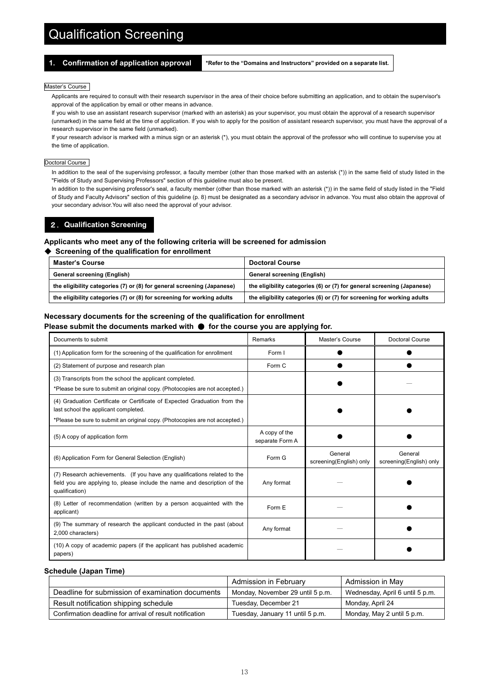## Qualification Screening

**1. Confirmation of application approval \*Refer to the "Domains and Instructors" provided on a separate list.**

#### Master's Course

Applicants are required to consult with their research supervisor in the area of their choice before submitting an application, and to obtain the supervisor's approval of the application by email or other means in advance.

If you wish to use an assistant research supervisor (marked with an asterisk) as your supervisor, you must obtain the approval of a research supervisor (unmarked) in the same field at the time of application. If you wish to apply for the position of assistant research supervisor, you must have the approval of a research supervisor in the same field (unmarked).

If your research advisor is marked with a minus sign or an asterisk (\*), you must obtain the approval of the professor who will continue to supervise you at the time of application.

#### Doctoral Course

In addition to the seal of the supervising professor, a faculty member (other than those marked with an asterisk (\*)) in the same field of study listed in the "Fields of Study and Supervising Professors" section of this guideline must also be present.

In addition to the supervising professor's seal, a faculty member (other than those marked with an asterisk (\*)) in the same field of study listed in the "Field of Study and Faculty Advisors" section of this guideline (p. 8) must be designated as a secondary advisor in advance. You must also obtain the approval of your secondary advisor.You will also need the approval of your advisor.

#### 2.**Qualification Screening**

#### **Applicants who meet any of the following criteria will be screened for admission**

#### ◆ **Screening of the qualification for enrollment**

| <b>Master's Course</b>                                                 | <b>Doctoral Course</b>                                                 |
|------------------------------------------------------------------------|------------------------------------------------------------------------|
| General screening (English)                                            | <b>General screening (English)</b>                                     |
| the eligibility categories (7) or (8) for general screening (Japanese) | the eligibility categories (6) or (7) for general screening (Japanese) |
| the eligibility categories (7) or (8) for screening for working adults | the eligibility categories (6) or (7) for screening for working adults |

#### **Necessary documents for the screening of the qualification for enrollment**

**Please submit the documents marked with** ● **for the course you are applying for.**

| Documents to submit                                                                                                                                                                              | Remarks                          | Master's Course                    | <b>Doctoral Course</b>             |
|--------------------------------------------------------------------------------------------------------------------------------------------------------------------------------------------------|----------------------------------|------------------------------------|------------------------------------|
| (1) Application form for the screening of the qualification for enrollment                                                                                                                       | Form I                           |                                    |                                    |
| (2) Statement of purpose and research plan                                                                                                                                                       | Form C                           |                                    |                                    |
| (3) Transcripts from the school the applicant completed.<br>*Please be sure to submit an original copy. (Photocopies are not accepted.)                                                          |                                  |                                    |                                    |
| (4) Graduation Certificate or Certificate of Expected Graduation from the<br>last school the applicant completed.<br>*Please be sure to submit an original copy. (Photocopies are not accepted.) |                                  |                                    |                                    |
| (5) A copy of application form                                                                                                                                                                   | A copy of the<br>separate Form A |                                    |                                    |
| (6) Application Form for General Selection (English)                                                                                                                                             | Form G                           | General<br>screening(English) only | General<br>screening(English) only |
| (7) Research achievements. (If you have any qualifications related to the<br>field you are applying to, please include the name and description of the<br>qualification)                         | Any format                       |                                    |                                    |
| (8) Letter of recommendation (written by a person acquainted with the<br>applicant)                                                                                                              | Form E                           |                                    |                                    |
| (9) The summary of research the applicant conducted in the past (about<br>2,000 characters)                                                                                                      | Any format                       |                                    |                                    |
| (10) A copy of academic papers (if the applicant has published academic<br>papers)                                                                                                               |                                  |                                    |                                    |

#### **Schedule (Japan Time)**

|                                                          | Admission in February            | Admission in May                |
|----------------------------------------------------------|----------------------------------|---------------------------------|
| Deadline for submission of examination documents         | Monday, November 29 until 5 p.m. | Wednesday, April 6 until 5 p.m. |
| Result notification shipping schedule                    | Tuesday, December 21             | Monday, April 24                |
| Confirmation deadline for arrival of result notification | Tuesday, January 11 until 5 p.m. | Monday, May 2 until 5 p.m.      |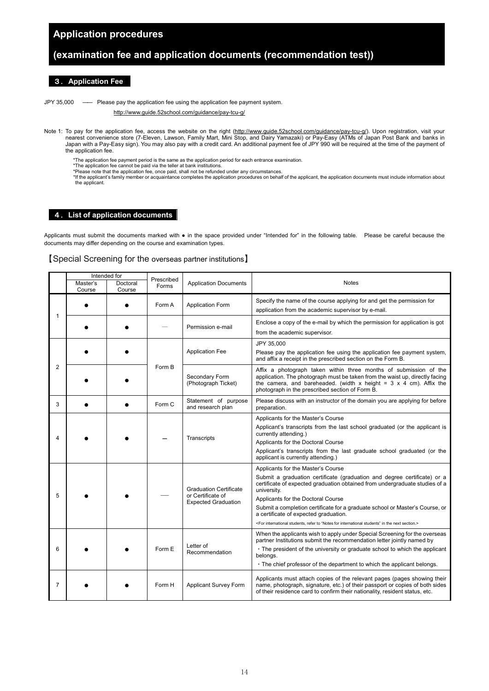### **Application procedures**

### **(examination fee and application documents (recommendation test))**

#### 3.**Application Fee**

JPY 35,000 ―― Please pay the application fee using the application fee payment system.

<http://www.guide.52school.com/guidance/pay-tcu-g/>

Note 1: To pay for the application fee, access the website on the right (http://www.quide.52school.com/quidance/pay-tcu-q/). Upon registration, visit your nearest convenience store (7-Eleven, Lawson, Family Mart, Mini Stop, and Dairy Yamazaki) or Pay-Easy (ATMs of Japan Post Bank and banks in Japan with a Pay-Easy sign). You may also pay with a credit card. An additional payment fee of JPY 990 will be required at the time of the payment of the application fee.

\*The application fee payment period is the same as the application period for each entrance examination. \*The application fee cannot be paid via the teller at bank institutions.

- 
- 

\*Please note that the application fee, once paid, shall not be refunded under any circumstances.<br>\*If the applicant's family member or acquaintance completes the application procedures on behalf of the applicant, the applic the applicant.

#### 4.**List of application documents**

Applicants must submit the documents marked with ● in the space provided under "Intended for" in the following table. Please be careful because the documents may differ depending on the course and examination types.

#### 【Special Screening for the overseas partner institutions】

|                |                    | Intended for       |                     |                                                                                  |                                                                                                                                                                                                                                                                                                                                                                                                                                                                                                        |
|----------------|--------------------|--------------------|---------------------|----------------------------------------------------------------------------------|--------------------------------------------------------------------------------------------------------------------------------------------------------------------------------------------------------------------------------------------------------------------------------------------------------------------------------------------------------------------------------------------------------------------------------------------------------------------------------------------------------|
|                | Master's<br>Course | Doctoral<br>Course | Prescribed<br>Forms | <b>Application Documents</b>                                                     | <b>Notes</b>                                                                                                                                                                                                                                                                                                                                                                                                                                                                                           |
| 1              |                    |                    | Form A              | <b>Application Form</b>                                                          | Specify the name of the course applying for and get the permission for<br>application from the academic supervisor by e-mail.                                                                                                                                                                                                                                                                                                                                                                          |
|                |                    |                    |                     | Permission e-mail                                                                | Enclose a copy of the e-mail by which the permission for application is got<br>from the academic supervisor.                                                                                                                                                                                                                                                                                                                                                                                           |
|                |                    |                    |                     | <b>Application Fee</b>                                                           | JPY 35.000<br>Please pay the application fee using the application fee payment system,<br>and affix a receipt in the prescribed section on the Form B.                                                                                                                                                                                                                                                                                                                                                 |
| $\overline{2}$ |                    |                    | Form B              | Secondary Form<br>(Photograph Ticket)                                            | Affix a photograph taken within three months of submission of the<br>application. The photograph must be taken from the waist up, directly facing<br>the camera, and bareheaded. (width x height = $3 \times 4$ cm). Affix the<br>photograph in the prescribed section of Form B.                                                                                                                                                                                                                      |
| 3              |                    |                    | Form C              | Statement of purpose<br>and research plan                                        | Please discuss with an instructor of the domain you are applying for before<br>preparation.                                                                                                                                                                                                                                                                                                                                                                                                            |
| Δ              |                    |                    |                     | Transcripts                                                                      | Applicants for the Master's Course<br>Applicant's transcripts from the last school graduated (or the applicant is<br>currently attending.)<br>Applicants for the Doctoral Course<br>Applicant's transcripts from the last graduate school graduated (or the<br>applicant is currently attending.)                                                                                                                                                                                                      |
| 5              |                    |                    |                     | <b>Graduation Certificate</b><br>or Certificate of<br><b>Expected Graduation</b> | Applicants for the Master's Course<br>Submit a graduation certificate (graduation and degree certificate) or a<br>certificate of expected graduation obtained from undergraduate studies of a<br>university.<br>Applicants for the Doctoral Course<br>Submit a completion certificate for a graduate school or Master's Course, or<br>a certificate of expected graduation.<br><for "notes="" for="" in="" international="" next="" refer="" section.="" students"="" students,="" the="" to=""></for> |
| 6              |                    |                    | Form E              | Letter of<br>Recommendation                                                      | When the applicants wish to apply under Special Screening for the overseas<br>partner Institutions submit the recommendation letter jointly named by<br>• The president of the university or graduate school to which the applicant<br>belongs.<br>. The chief professor of the department to which the applicant belongs.                                                                                                                                                                             |
| 7              |                    |                    | Form H              | <b>Applicant Survey Form</b>                                                     | Applicants must attach copies of the relevant pages (pages showing their<br>name, photograph, signature, etc.) of their passport or copies of both sides<br>of their residence card to confirm their nationality, resident status, etc.                                                                                                                                                                                                                                                                |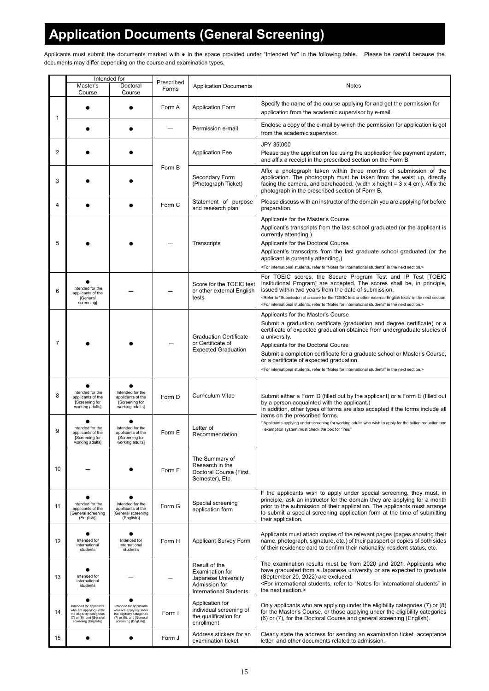## **Application Documents (General Screening)**

Applicants must submit the documents marked with • in the space provided under "Intended for" in the following table. Please be careful because the documents may differ depending on the course and examination types.

|    |                                                                                                                                                        | Intended for                                                                                                                              | Prescribed |                                                                                                                  |                                                                                                                                                                                                                                                                                                                                                                                                                                                                                                        |  |
|----|--------------------------------------------------------------------------------------------------------------------------------------------------------|-------------------------------------------------------------------------------------------------------------------------------------------|------------|------------------------------------------------------------------------------------------------------------------|--------------------------------------------------------------------------------------------------------------------------------------------------------------------------------------------------------------------------------------------------------------------------------------------------------------------------------------------------------------------------------------------------------------------------------------------------------------------------------------------------------|--|
|    | Master's<br>Course                                                                                                                                     | Doctoral<br>Course                                                                                                                        | Forms      | <b>Application Documents</b>                                                                                     | Notes                                                                                                                                                                                                                                                                                                                                                                                                                                                                                                  |  |
| 1  |                                                                                                                                                        |                                                                                                                                           | Form A     | <b>Application Form</b>                                                                                          | Specify the name of the course applying for and get the permission for<br>application from the academic supervisor by e-mail.                                                                                                                                                                                                                                                                                                                                                                          |  |
|    |                                                                                                                                                        |                                                                                                                                           |            | Permission e-mail                                                                                                | Enclose a copy of the e-mail by which the permission for application is got<br>from the academic supervisor.                                                                                                                                                                                                                                                                                                                                                                                           |  |
|    |                                                                                                                                                        |                                                                                                                                           |            |                                                                                                                  | JPY 35,000                                                                                                                                                                                                                                                                                                                                                                                                                                                                                             |  |
| 2  |                                                                                                                                                        |                                                                                                                                           |            | <b>Application Fee</b>                                                                                           | Please pay the application fee using the application fee payment system,<br>and affix a receipt in the prescribed section on the Form B.                                                                                                                                                                                                                                                                                                                                                               |  |
| 3  |                                                                                                                                                        |                                                                                                                                           | Form B     | Secondary Form<br>(Photograph Ticket)                                                                            | Affix a photograph taken within three months of submission of the<br>application. The photograph must be taken from the waist up, directly<br>facing the camera, and bareheaded. (width x height = $3 \times 4$ cm). Affix the<br>photograph in the prescribed section of Form B.                                                                                                                                                                                                                      |  |
| 4  |                                                                                                                                                        |                                                                                                                                           | Form C     | Statement of purpose<br>and research plan                                                                        | Please discuss with an instructor of the domain you are applying for before<br>preparation.                                                                                                                                                                                                                                                                                                                                                                                                            |  |
| 5  |                                                                                                                                                        |                                                                                                                                           |            | Transcripts                                                                                                      | Applicants for the Master's Course<br>Applicant's transcripts from the last school graduated (or the applicant is<br>currently attending.)<br>Applicants for the Doctoral Course<br>Applicant's transcripts from the last graduate school graduated (or the<br>applicant is currently attending.)<br><for "notes="" for="" in="" international="" next="" refer="" section.="" students"="" students,="" the="" to=""></for>                                                                           |  |
| 6  | Intended for the<br>applicants of the<br><b>IGeneral</b><br>screening]                                                                                 |                                                                                                                                           |            | Score for the TOEIC test<br>or other external English<br>tests                                                   | For TOEIC scores, the Secure Program Test and IP Test [TOEIC<br>Institutional Program] are accepted. The scores shall be, in principle,<br>issued within two years from the date of submission.<br><refer "submission="" a="" english="" external="" for="" in="" next="" of="" or="" other="" score="" section.<br="" test="" tests"="" the="" to="" toeic=""><for "notes="" for="" in="" international="" next="" refer="" section.="" students"="" students,="" the="" to=""></for></refer>         |  |
| 7  |                                                                                                                                                        |                                                                                                                                           |            | <b>Graduation Certificate</b><br>or Certificate of<br><b>Expected Graduation</b>                                 | Applicants for the Master's Course<br>Submit a graduation certificate (graduation and degree certificate) or a<br>certificate of expected graduation obtained from undergraduate studies of<br>a university.<br>Applicants for the Doctoral Course<br>Submit a completion certificate for a graduate school or Master's Course,<br>or a certificate of expected graduation.<br><for "notes="" for="" in="" international="" next="" refer="" section.="" students"="" students,="" the="" to=""></for> |  |
| 8  | Intended for the<br>applicants of the<br>Screening for<br>working adults]                                                                              | Intended for the<br>applicants of the<br>[Screening for<br>working adults]                                                                | Form D     | Curriculum Vitae                                                                                                 | Submit either a Form D (filled out by the applicant) or a Form E (filled out<br>by a person acquainted with the applicant.)<br>In addition, other types of forms are also accepted if the forms include all                                                                                                                                                                                                                                                                                            |  |
| 9  | Intended for the<br>applicants of the<br>Screening for<br>working adults]                                                                              | Intended for the<br>applicants of the<br>[Screening for<br>working adults]                                                                | Form E     | Letter of<br>Recommendation                                                                                      | items on the prescribed forms.<br>* Applicants applying under screening for working adults who wish to apply for the tuition reduction and<br>exemption system must check the box for "Yes."                                                                                                                                                                                                                                                                                                           |  |
| 10 |                                                                                                                                                        |                                                                                                                                           | Form F     | The Summary of<br>Research in the<br>Doctoral Course (First<br>Semester), Etc.                                   |                                                                                                                                                                                                                                                                                                                                                                                                                                                                                                        |  |
| 11 | Intended for the<br>applicants of the<br>[General screening<br>(English)]                                                                              | $\bullet$<br>Intended for the<br>applicants of the<br>[General screening<br>(English)]                                                    | Form G     | Special screening<br>application form                                                                            | If the applicants wish to apply under special screening, they must, in<br>principle, ask an instructor for the domain they are applying for a month<br>prior to the submission of their application. The applicants must arrange<br>to submit a special screening application form at the time of submitting<br>their application.                                                                                                                                                                     |  |
| 12 | Intended for<br>international<br>students                                                                                                              | Intended for<br>international<br>students                                                                                                 | Form H     | <b>Applicant Survey Form</b>                                                                                     | Applicants must attach copies of the relevant pages (pages showing their<br>name, photograph, signature, etc.) of their passport or copies of both sides<br>of their residence card to confirm their nationality, resident status, etc.                                                                                                                                                                                                                                                                |  |
| 13 | Intended for<br>international<br>students                                                                                                              |                                                                                                                                           |            | Result of the<br><b>Examination for</b><br>Japanese University<br>Admission for<br><b>International Students</b> | The examination results must be from 2020 and 2021. Applicants who<br>have graduated from a Japanese university or are expected to graduate<br>(September 20, 2022) are excluded.<br><for "notes="" for="" in<br="" international="" refer="" students"="" students,="" to="">the next section.&gt;</for>                                                                                                                                                                                              |  |
| 14 | $\bullet$<br>Intended for applicants<br>who are applying under<br>the eligibility categories<br>$(7)$ or $(8)$ , and [General<br>screening (English)]. | ٠<br>Intended for applicants<br>who are applying under<br>the eligibility categories<br>(7) or (8), and [General<br>screening (English)]. | Form I     | Application for<br>individual screening of<br>the qualification for<br>enrollment                                | Only applicants who are applying under the eligibility categories (7) or (8)<br>for the Master's Course, or those applying under the eligibility categories<br>(6) or (7), for the Doctoral Course and general screening (English).                                                                                                                                                                                                                                                                    |  |
| 15 |                                                                                                                                                        |                                                                                                                                           | Form J     | Address stickers for an<br>examination ticket                                                                    | Clearly state the address for sending an examination ticket, acceptance<br>letter, and other documents related to admission.                                                                                                                                                                                                                                                                                                                                                                           |  |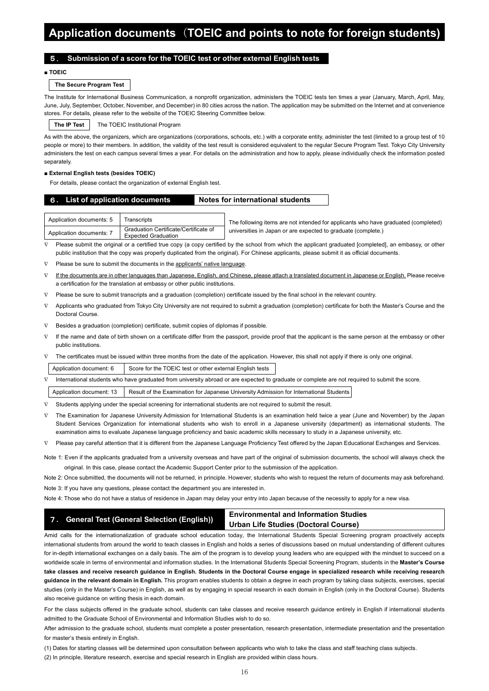## **Application documents** (**TOEIC and points to note for foreign students)**

#### 5. **Submission of a score for the TOEIC test or other external English tests**

#### **■ TOEIC**

#### **The Secure Program Test**

The Institute for International Business Communication, a nonprofit organization, administers the TOEIC tests ten times a year (January, March, April, May, June, July, September, October, November, and December) in 80 cities across the nation. The application may be submitted on the Internet and at convenience stores. For details, please refer to the website of the TOEIC Steering Committee below.

**The IP Test** The TOEIC Institutional Program

As with the above, the organizers, which are organizations (corporations, schools, etc.) with a corporate entity, administer the test (limited to a group test of 10 people or more) to their members. In addition, the validity of the test result is considered equivalent to the regular Secure Program Test. Tokyo City University administers the test on each campus several times a year. For details on the administration and how to apply, please individually check the information posted separately

#### **■ External English tests (besides TOEIC)**

For details, please contact the organization of external English test.

#### 6**. List of application documents Notes for international students**

| Application documents: 5 | Transcripts                                                  | The following items are not intended for applicants who have graduated (completed) |
|--------------------------|--------------------------------------------------------------|------------------------------------------------------------------------------------|
| Application documents: 7 | Graduation Certificate/Certificate of<br>Expected Graduation | universities in Japan or are expected to graduate (complete.)                      |

Please submit the original or a certified true copy (a copy certified by the school from which the applicant graduated [completed], an embassy, or other public institution that the copy was properly duplicated from the original). For Chinese applicants, please submit it as official documents.

Please be sure to submit the documents in the applicants' native language.

- ∇ If the documents are in other languages than Japanese, English, and Chinese, please attach a translated document in Japanese or English. Please receive a certification for the translation at embassy or other public institutions.
- ∇ Please be sure to submit transcripts and a graduation (completion) certificate issued by the final school in the relevant country.
- ∇ Applicants who graduated from Tokyo City University are not required to submit a graduation (completion) certificate for both the Master's Course and the Doctoral Course.
- ∇ Besides a graduation (completion) certificate, submit copies of diplomas if possible.
- If the name and date of birth shown on a certificate differ from the passport, provide proof that the applicant is the same person at the embassy or other public institutions.
- ∇ The certificates must be issued within three months from the date of the application. However, this shall not apply if there is only one original.

Application document:  $6 \mid$  Score for the TOEIC test or other external English tests

∇ International students who have graduated from university abroad or are expected to graduate or complete are not required to submit the score.

Application document: 13 | Result of the Examination for Japanese University Admission for International Students

∇ Students applying under the special screening for international students are not required to submit the result.

∇ The Examination for Japanese University Admission for International Students is an examination held twice a year (June and November) by the Japan Student Services Organization for international students who wish to enroll in a Japanese university (department) as international students. The examination aims to evaluate Japanese language proficiency and basic academic skills necessary to study in a Japanese university, etc.

∇ Please pay careful attention that it is different from the Japanese Language Proficiency Test offered by the Japan Educational Exchanges and Services.

Note 1: Even if the applicants graduated from a university overseas and have part of the original of submission documents, the school will always check the original. In this case, please contact the Academic Support Center prior to the submission of the application.

Note 2: Once submitted, the documents will not be returned, in principle. However, students who wish to request the return of documents may ask beforehand.

Note 3: If you have any questions, please contact the department you are interested in.

Note 4: Those who do not have a status of residence in Japan may delay your entry into Japan because of the necessity to apply for a new visa.

| 7. General Test (General Selection (English)) | <b>Environmental and Information Studies</b> |  |  |
|-----------------------------------------------|----------------------------------------------|--|--|
|                                               | Urban Life Studies (Doctoral Course)         |  |  |

Amid calls for the internationalization of graduate school education today, the International Students Special Screening program proactively accepts international students from around the world to teach classes in English and holds a series of discussions based on mutual understanding of different cultures for in-depth international exchanges on a daily basis. The aim of the program is to develop young leaders who are equipped with the mindset to succeed on a worldwide scale in terms of environmental and information studies. In the International Students Special Screening Program, students in the **Master's Course take classes and receive research guidance in English. Students in the Doctoral Course engage in specialized research while receiving research guidance in the relevant domain in English.** This program enables students to obtain a degree in each program by taking class subjects, exercises, special studies (only in the Master's Course) in English, as well as by engaging in special research in each domain in English (only in the Doctoral Course). Students also receive guidance on writing thesis in each domain.

For the class subjects offered in the graduate school, students can take classes and receive research guidance entirely in English if international students admitted to the Graduate School of Environmental and Information Studies wish to do so.

After admission to the graduate school, students must complete a poster presentation, research presentation, intermediate presentation and the presentation for master's thesis entirely in English.

(1) Dates for starting classes will be determined upon consultation between applicants who wish to take the class and staff teaching class subjects.

(2) In principle, literature research, exercise and special research in English are provided within class hours.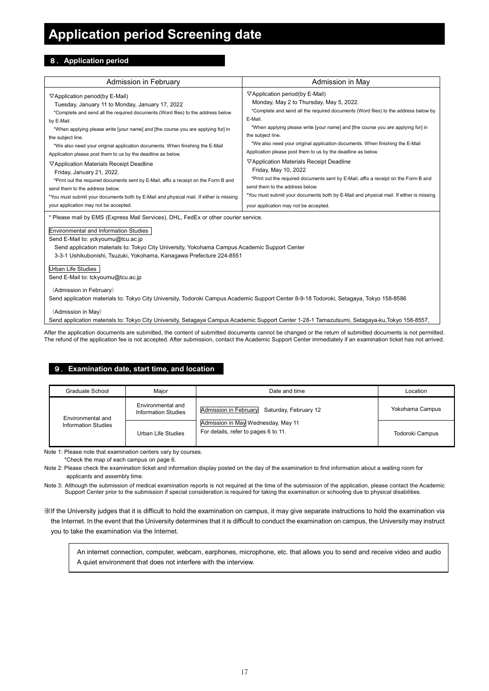## **Application period Screening date**

#### 8.**Application period**

| Admission in February                                                                                                                                                                                                                                                                                                                                                                                                                                                                                                                                                                                                                                                                                                                                                            | Admission in May                                                                                                                                                                                                                                                                                                                                                                                                                                                                                                                                                                                                                                                                                                                                                             |  |  |
|----------------------------------------------------------------------------------------------------------------------------------------------------------------------------------------------------------------------------------------------------------------------------------------------------------------------------------------------------------------------------------------------------------------------------------------------------------------------------------------------------------------------------------------------------------------------------------------------------------------------------------------------------------------------------------------------------------------------------------------------------------------------------------|------------------------------------------------------------------------------------------------------------------------------------------------------------------------------------------------------------------------------------------------------------------------------------------------------------------------------------------------------------------------------------------------------------------------------------------------------------------------------------------------------------------------------------------------------------------------------------------------------------------------------------------------------------------------------------------------------------------------------------------------------------------------------|--|--|
| ▽Application period(by E-Mail)<br>Tuesday, January 11 to Monday, January 17, 2022<br>*Complete and send all the required documents (Word files) to the address below<br>by E-Mail.<br>*When applying please write [your name] and [the course you are applying for] in<br>the subject line.<br>*We also need your original application documents. When finishing the E-Mail<br>Application please post them to us by the deadline as below.<br>▽Application Materials Receipt Deadline<br>Friday, January 21, 2022.<br>*Print out the required documents sent by E-Mail, affix a receipt on the Form B and<br>send them to the address below.<br>*You must submit your documents both by E-Mail and physical mail. If either is missing<br>your application may not be accepted. | $\nabla$ Application period(by E-Mail)<br>Monday, May 2 to Thursday, May 5, 2022.<br>*Complete and send all the required documents (Word files) to the address below by<br>E-Mail.<br>*When applying please write [your name] and [the course you are applying for] in<br>the subject line.<br>*We also need your original application documents. When finishing the E-Mail<br>Application please post them to us by the deadline as below.<br>▽ Application Materials Receipt Deadline<br>Friday, May 10, 2022<br>*Print out the required documents sent by E-Mail, affix a receipt on the Form B and<br>send them to the address below.<br>*You must submit your documents both by E-Mail and physical mail. If either is missing<br>your application may not be accepted. |  |  |
| * Please mail by EMS (Express Mail Services), DHL, FedEx or other courier service.<br><b>Environmental and Information Studies</b><br>Send E-Mail to: yckyoumu@tcu.ac.jp<br>Send application materials to: Tokyo City University, Yokohama Campus Academic Support Center<br>3-3-1 Ushikubonishi, Tsuzuki, Yokohama, Kanagawa Prefecture 224-8551<br><b>Urban Life Studies</b><br>Send E-Mail to: tckyoumu@tcu.ac.jp<br>(Admission in February)<br>Send application materials to: Tokyo City University, Todoroki Campus Academic Support Center 8-9-18 Todoroki, Setagaya, Tokyo 158-8586                                                                                                                                                                                       |                                                                                                                                                                                                                                                                                                                                                                                                                                                                                                                                                                                                                                                                                                                                                                              |  |  |

(Admission in May)

Send application materials to: Tokyo City University, Setagaya Campus Academic Support Center 1-28-1 Tamazutsumi, Setagaya-ku,Tokyo 158-8557,

After the application documents are submitted, the content of submitted documents cannot be changed or the return of submitted documents is not permitted The refund of the application fee is not accepted. After submission, contact the Academic Support Center immediately if an examination ticket has not arrived.

### 9.**Examination date, start time, and location**

| Graduate School            | Maior                                           | Date and time                                                              | Location        |
|----------------------------|-------------------------------------------------|----------------------------------------------------------------------------|-----------------|
| Environmental and          | Environmental and<br><b>Information Studies</b> | Admission in February<br>Saturday, February 12                             | Yokohama Campus |
| <b>Information Studies</b> | Urban Life Studies                              | Admission in May Wednesday, May 11<br>For details, refer to pages 6 to 11. | Todoroki Campus |

Note 1: Please note that examination centers vary by courses.

\*Check the map of each campus on page 6.

Note 2: Please check the examination ticket and information display posted on the day of the examination to find information about a waiting room for applicants and assembly time.

Note 3: Although the submission of medical examination reports is not required at the time of the submission of the application, please contact the Academic Support Center prior to the submission if special consideration is required for taking the examination or schooling due to physical disabilities.

※If the University judges that it is difficult to hold the examination on campus, it may give separate instructions to hold the examination via the Internet. In the event that the University determines that it is difficult to conduct the examination on campus, the University may instruct you to take the examination via the Internet.

 An internet connection, computer, webcam, earphones, microphone, etc. that allows you to send and receive video and audio A quiet environment that does not interfere with the interview.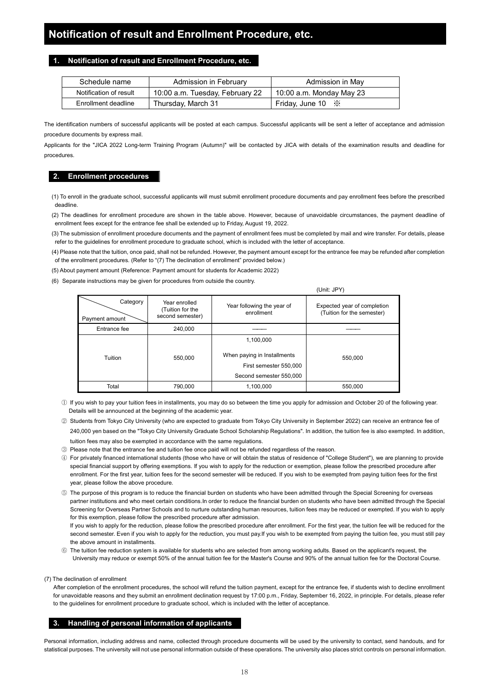#### **1. Notification of result and Enrollment Procedure, etc.**

| Schedule name          | Admission in February           | Admission in May         |
|------------------------|---------------------------------|--------------------------|
| Notification of result | 10:00 a.m. Tuesday, February 22 | 10:00 a.m. Monday May 23 |
| Enrollment deadline    | Thursday, March 31              | Friday, June 10 $\%$     |

The identification numbers of successful applicants will be posted at each campus. Successful applicants will be sent a letter of acceptance and admission procedure documents by express mail.

Applicants for the "JICA 2022 Long-term Training Program (Autumn)" will be contacted by JICA with details of the examination results and deadline for procedures.

#### **2. Enrollment procedures**

(1) To enroll in the graduate school, successful applicants will must submit enrollment procedure documents and pay enrollment fees before the prescribed deadline.

(2) The deadlines for enrollment procedure are shown in the table above. However, because of unavoidable circumstances, the payment deadline of enrollment fees except for the entrance fee shall be extended up to Friday, August 19, 2022.

- (3) The submission of enrollment procedure documents and the payment of enrollment fees must be completed by mail and wire transfer. For details, please refer to the guidelines for enrollment procedure to graduate school, which is included with the letter of acceptance.
- (4) Please note that the tuition, once paid, shall not be refunded. However, the payment amount except for the entrance fee may be refunded after completion of the enrollment procedures. (Refer to "(7) The declination of enrollment" provided below.)
- (5) About payment amount (Reference: Payment amount for students for Academic 2022)
- (6) Separate instructions may be given for procedures from outside the country.

(Unit: JPY)

| Category<br>Payment amount | Year enrolled<br>(Tuition for the<br>second semester) | Year following the year of<br>enrollment                                                      | Expected year of completion<br>(Tuition for the semester) |  |
|----------------------------|-------------------------------------------------------|-----------------------------------------------------------------------------------------------|-----------------------------------------------------------|--|
| Entrance fee               | 240,000                                               |                                                                                               |                                                           |  |
| Tuition                    | 550,000                                               | 1,100,000<br>When paying in Installments<br>First semester 550,000<br>Second semester 550,000 | 550,000                                                   |  |
| Total<br>790,000           |                                                       | 1,100,000                                                                                     | 550,000                                                   |  |

① If you wish to pay your tuition fees in installments, you may do so between the time you apply for admission and October 20 of the following year. Details will be announced at the beginning of the academic year.

- ② Students from Tokyo City University (who are expected to graduate from Tokyo City University in September 2022) can receive an entrance fee of 240,000 yen based on the "Tokyo City University Graduate School Scholarship Regulations". In addition, the tuition fee is also exempted. In addition, tuition fees may also be exempted in accordance with the same regulations.
- ③ Please note that the entrance fee and tuition fee once paid will not be refunded regardless of the reason.
- ④ For privately financed international students (those who have or will obtain the status of residence of "College Student"), we are planning to provide special financial support by offering exemptions. If you wish to apply for the reduction or exemption, please follow the prescribed procedure after enrollment. For the first year, tuition fees for the second semester will be reduced. If you wish to be exempted from paying tuition fees for the first year, please follow the above procedure.
- ⑤ The purpose of this program is to reduce the financial burden on students who have been admitted through the Special Screening for overseas partner institutions and who meet certain conditions.In order to reduce the financial burden on students who have been admitted through the Special Screening for Overseas Partner Schools and to nurture outstanding human resources, tuition fees may be reduced or exempted. If you wish to apply for this exemption, please follow the prescribed procedure after admission.

 If you wish to apply for the reduction, please follow the prescribed procedure after enrollment. For the first year, the tuition fee will be reduced for the second semester. Even if you wish to apply for the reduction, you must pay.If you wish to be exempted from paying the tuition fee, you must still pay the above amount in installments.

- ⑥ The tuition fee reduction system is available for students who are selected from among working adults. Based on the applicant's request, the University may reduce or exempt 50% of the annual tuition fee for the Master's Course and 90% of the annual tuition fee for the Doctoral Course.
- (7) The declination of enrollment

After completion of the enrollment procedures, the school will refund the tuition payment, except for the entrance fee, if students wish to decline enrollment for unavoidable reasons and they submit an enrollment declination request by 17:00 p.m., Friday, September 16, 2022, in principle. For details, please refer to the guidelines for enrollment procedure to graduate school, which is included with the letter of acceptance.

#### **3. Handling of personal information of applicants**

Personal information, including address and name, collected through procedure documents will be used by the university to contact, send handouts, and for statistical purposes. The university will not use personal information outside of these operations. The university also places strict controls on personal information.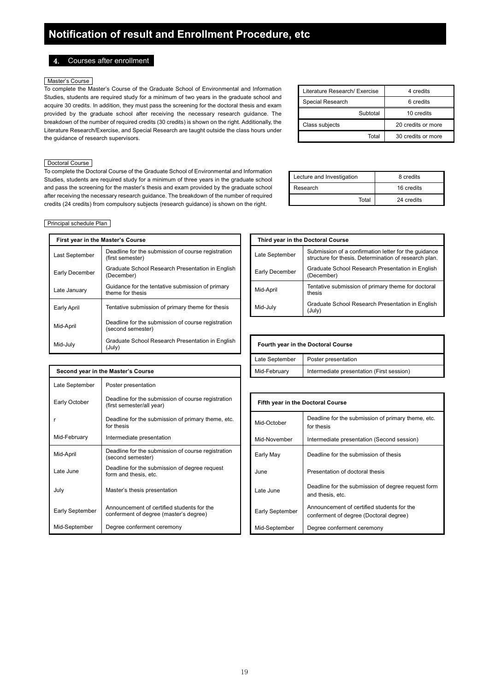4. Courses after enrollment

#### Master's Course

To complete the Master's Course of the Graduate School of Environmental and Information Studies, students are required study for a minimum of two years in the graduate school and acquire 30 credits. In addition, they must pass the screening for the doctoral thesis and exam provided by the graduate school after receiving the necessary research guidance. The breakdown of the number of required credits (30 credits) is shown on the right. Additionally, the Literature Research/Exercise, and Special Research are taught outside the class hours under the guidance of research supervisors.

#### Doctoral Course

To complete the Doctoral Course of the Graduate School of Environmental and Information Studies, students are required study for a minimum of three years in the graduate school and pass the screening for the master's thesis and exam provided by the graduate school after receiving the necessary research guidance. The breakdown of the number of required credits (24 credits) from compulsory subjects (research guidance) is shown on the right.

| Literature Research/ Exercise | 4 credits          |
|-------------------------------|--------------------|
| Special Research              | 6 credits          |
| Subtotal                      | 10 credits         |
| Class subjects                | 20 credits or more |
| Total                         | 30 credits or more |

| Lecture and Investigation | 8 credits  |  |
|---------------------------|------------|--|
| Research                  | 16 credits |  |
| Total                     | 24 credits |  |

#### Principal schedule Plan

| First year in the Master's Course |                                                                         |                                    |                | Third year in the Doctoral Course        |
|-----------------------------------|-------------------------------------------------------------------------|------------------------------------|----------------|------------------------------------------|
| Last September                    | Deadline for the submission of course registration<br>(first semester)  |                                    | Late September | Submission of a c<br>structure for thesi |
| Early December                    | Graduate School Research Presentation in English<br>(December)          |                                    | Early December | Graduate School<br>(December)            |
| Late January                      | Guidance for the tentative submission of primary<br>theme for thesis    |                                    | Mid-April      | Tentative submiss<br>thesis              |
| Early April                       | Tentative submission of primary theme for thesis                        |                                    | Mid-July       | Graduate School<br>(July)                |
| Mid-April                         | Deadline for the submission of course registration<br>(second semester) |                                    |                |                                          |
| Mid-July                          | Graduate School Research Presentation in English<br>(July)              | Fourth year in the Doctoral Course |                |                                          |

**Second year in the Master's Course** 

| First year in the Master's Course |                                                                        |                | Third year in the Doctoral Course                                                                             |
|-----------------------------------|------------------------------------------------------------------------|----------------|---------------------------------------------------------------------------------------------------------------|
| Last September                    | Deadline for the submission of course registration<br>(first semester) | Late September | Submission of a confirmation letter for the quidance<br>structure for thesis. Determination of research plan. |
| Early December                    | Graduate School Research Presentation in English<br>(December)         | Early December | Graduate School Research Presentation in English<br>(December)                                                |
| Late January                      | Guidance for the tentative submission of primary<br>theme for thesis   | Mid-April      | Tentative submission of primary theme for doctoral<br>thesis                                                  |
| Early April                       | Tentative submission of primary theme for thesis                       | Mid-July       | Graduate School Research Presentation in English<br>(July)                                                    |
|                                   |                                                                        |                |                                                                                                               |

| Fourth year in the Doctoral Course    |                                           |  |  |  |
|---------------------------------------|-------------------------------------------|--|--|--|
| Late September<br>Poster presentation |                                           |  |  |  |
| Mid-February                          | Intermediate presentation (First session) |  |  |  |

| Late September  | Poster presentation                                                                  |                                   |                                                               |
|-----------------|--------------------------------------------------------------------------------------|-----------------------------------|---------------------------------------------------------------|
| Early October   | Deadline for the submission of course registration<br>(first semester/all year)      | Fifth year in the Doctoral Course |                                                               |
| r               | Deadline for the submission of primary theme, etc.<br>for thesis                     | Mid-October                       | Deadline for the submission of<br>for thesis                  |
| Mid-February    | Intermediate presentation                                                            | Mid-November                      | Intermediate presentation (Se                                 |
| Mid-April       | Deadline for the submission of course registration<br>(second semester)              | Early May                         | Deadline for the submission of                                |
| Late June       | Deadline for the submission of degree request<br>form and thesis, etc.               | June                              | Presentation of doctoral thesis                               |
| July            | Master's thesis presentation                                                         | Late June                         | Deadline for the submission of<br>and thesis, etc.            |
| Early September | Announcement of certified students for the<br>conferment of degree (master's degree) | Early September                   | Announcement of certified stu<br>conferment of degree (Doctor |
| Mid-September   | Degree conferment ceremony                                                           | Mid-September                     | Degree conferment ceremony                                    |

| Early October   | Deadline for the submission of course registration<br>(first semester/all year)      | Fifth year in the Doctoral Course |                                                                                      |
|-----------------|--------------------------------------------------------------------------------------|-----------------------------------|--------------------------------------------------------------------------------------|
|                 | Deadline for the submission of primary theme, etc.<br>for thesis                     | Mid-October                       | Deadline for the submission of primary theme, etc.<br>for thesis                     |
| Mid-February    | Intermediate presentation                                                            | Mid-November                      | Intermediate presentation (Second session)                                           |
| Mid-April       | Deadline for the submission of course registration<br>(second semester)              | Early May                         | Deadline for the submission of thesis                                                |
| Late June       | Deadline for the submission of degree request<br>form and thesis, etc.               | June                              | Presentation of doctoral thesis                                                      |
| July            | Master's thesis presentation                                                         | Late June                         | Deadline for the submission of degree request form<br>and thesis, etc.               |
| Early September | Announcement of certified students for the<br>conferment of degree (master's degree) | Early September                   | Announcement of certified students for the<br>conferment of degree (Doctoral degree) |
| Mid-September   | Degree conferment ceremony                                                           | Mid-September                     | Degree conferment ceremony                                                           |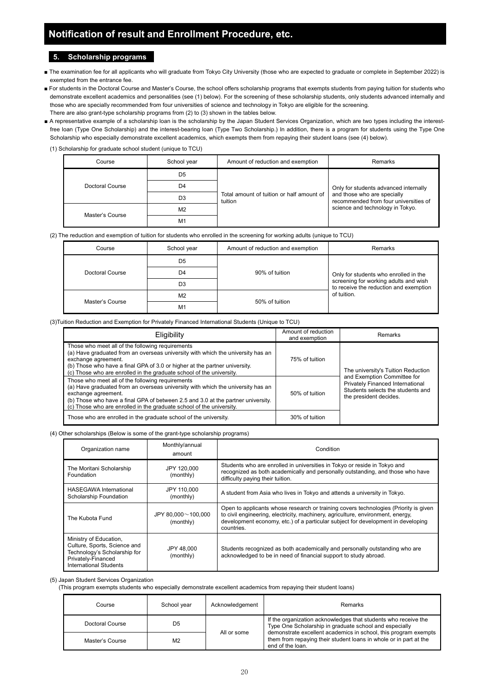## **Notification of result and Enrollment Procedure, etc.**

#### **5. Scholarship programs**

- The examination fee for all applicants who will graduate from Tokyo City University (those who are expected to graduate or complete in September 2022) is exempted from the entrance fee.
- For students in the Doctoral Course and Master's Course, the school offers scholarship programs that exempts students from paying tuition for students who demonstrate excellent academics and personalities (see (1) below). For the screening of these scholarship students, only students advanced internally and those who are specially recommended from four universities of science and technology in Tokyo are eligible for the screening. There are also grant-type scholarship programs from (2) to (3) shown in the tables below.
- A representative example of a scholarship loan is the scholarship by the Japan Student Services Organization, which are two types including the interestfree loan (Type One Scholarship) and the interest-bearing loan (Type Two Scholarship.) In addition, there is a program for students using the Type One Scholarship who especially demonstrate excellent academics, which exempts them from repaying their student loans (see (4) below).

(1) Scholarship for graduate school student (unique to TCU)

| Course          | School year    | Amount of reduction and exemption                    | Remarks                                                                                                                                           |  |
|-----------------|----------------|------------------------------------------------------|---------------------------------------------------------------------------------------------------------------------------------------------------|--|
|                 | D <sub>5</sub> |                                                      | Only for students advanced internally<br>and those who are specially<br>recommended from four universities of<br>science and technology in Tokyo. |  |
| Doctoral Course | D4             |                                                      |                                                                                                                                                   |  |
|                 | D <sub>3</sub> | Total amount of tuition or half amount of<br>tuition |                                                                                                                                                   |  |
| Master's Course | M <sub>2</sub> |                                                      |                                                                                                                                                   |  |
|                 | M <sub>1</sub> |                                                      |                                                                                                                                                   |  |

#### (2) The reduction and exemption of tuition for students who enrolled in the screening for working adults (unique to TCU)

| Course          | School year    | Amount of reduction and exemption | Remarks                                                                                                                                 |  |
|-----------------|----------------|-----------------------------------|-----------------------------------------------------------------------------------------------------------------------------------------|--|
|                 | D <sub>5</sub> |                                   |                                                                                                                                         |  |
| Doctoral Course | D4             | 90% of tuition                    | Only for students who enrolled in the<br>screening for working adults and wish<br>to receive the reduction and exemption<br>of tuition. |  |
|                 | D <sub>3</sub> |                                   |                                                                                                                                         |  |
| Master's Course | M <sub>2</sub> | 50% of tuition                    |                                                                                                                                         |  |
|                 | M <sub>1</sub> |                                   |                                                                                                                                         |  |

#### (3)Tuition Reduction and Exemption for Privately Financed International Students (Unique to TCU)

| Eligibility                                                                                                                                                                                                                                                                                                            | Amount of reduction<br>and exemption | Remarks                                                                                                                        |
|------------------------------------------------------------------------------------------------------------------------------------------------------------------------------------------------------------------------------------------------------------------------------------------------------------------------|--------------------------------------|--------------------------------------------------------------------------------------------------------------------------------|
| Those who meet all of the following requirements<br>(a) Have graduated from an overseas university with which the university has an<br>exchange agreement.<br>(b) Those who have a final GPA of 3.0 or higher at the partner university.<br>(c) Those who are enrolled in the graduate school of the university.       | 75% of tuition                       | The university's Tuition Reduction                                                                                             |
| Those who meet all of the following requirements<br>(a) Have graduated from an overseas university with which the university has an<br>exchange agreement.<br>(b) Those who have a final GPA of between 2.5 and 3.0 at the partner university.<br>(c) Those who are enrolled in the graduate school of the university. | 50% of tuition                       | and Exemption Committee for<br>Privately Financed International<br>Students selects the students and<br>the president decides. |
| Those who are enrolled in the graduate school of the university.                                                                                                                                                                                                                                                       | 30% of tuition                       |                                                                                                                                |

#### (4) Other scholarships (Below is some of the grant-type scholarship programs)

| Monthly/annual<br>Organization name<br>amount                                                                                          |                                        | Condition                                                                                                                                                                                                                                                                 |  |  |
|----------------------------------------------------------------------------------------------------------------------------------------|----------------------------------------|---------------------------------------------------------------------------------------------------------------------------------------------------------------------------------------------------------------------------------------------------------------------------|--|--|
| The Moritani Scholarship<br>Foundation                                                                                                 | JPY 120,000<br>(monthly)               | Students who are enrolled in universities in Tokyo or reside in Tokyo and<br>recognized as both academically and personally outstanding, and those who have<br>difficulty paying their tuition.                                                                           |  |  |
| <b>HASEGAWA</b> International<br>Scholarship Foundation                                                                                | JPY 110,000<br>(monthly)               | A student from Asia who lives in Tokyo and attends a university in Tokyo.                                                                                                                                                                                                 |  |  |
| The Kubota Fund                                                                                                                        | JPY 80,000 $\sim$ 100,000<br>(monthly) | Open to applicants whose research or training covers technologies (Priority is given<br>to civil engineering, electricity, machinery, agriculture, environment, energy,<br>development economy, etc.) of a particular subject for development in developing<br>countries. |  |  |
| Ministry of Education,<br>Culture, Sports, Science and<br>Technology's Scholarship for<br>Privately-Financed<br>International Students | JPY 48,000<br>(monthly)                | Students recognized as both academically and personally outstanding who are<br>acknowledged to be in need of financial support to study abroad.                                                                                                                           |  |  |

#### (5) Japan Student Services Organization

(This program exempts students who especially demonstrate excellent academics from repaying their student loans)

| Course          | School vear    | Acknowledgement | Remarks                                                                                                                                                  |  |
|-----------------|----------------|-----------------|----------------------------------------------------------------------------------------------------------------------------------------------------------|--|
| Doctoral Course | D5             | All or some     | If the organization acknowledges that students who receive the<br>Type One Scholarship in graduate school and especially                                 |  |
| Master's Course | M <sub>2</sub> |                 | demonstrate excellent academics in school, this program exempts<br>them from repaying their student loans in whole or in part at the<br>end of the loan. |  |